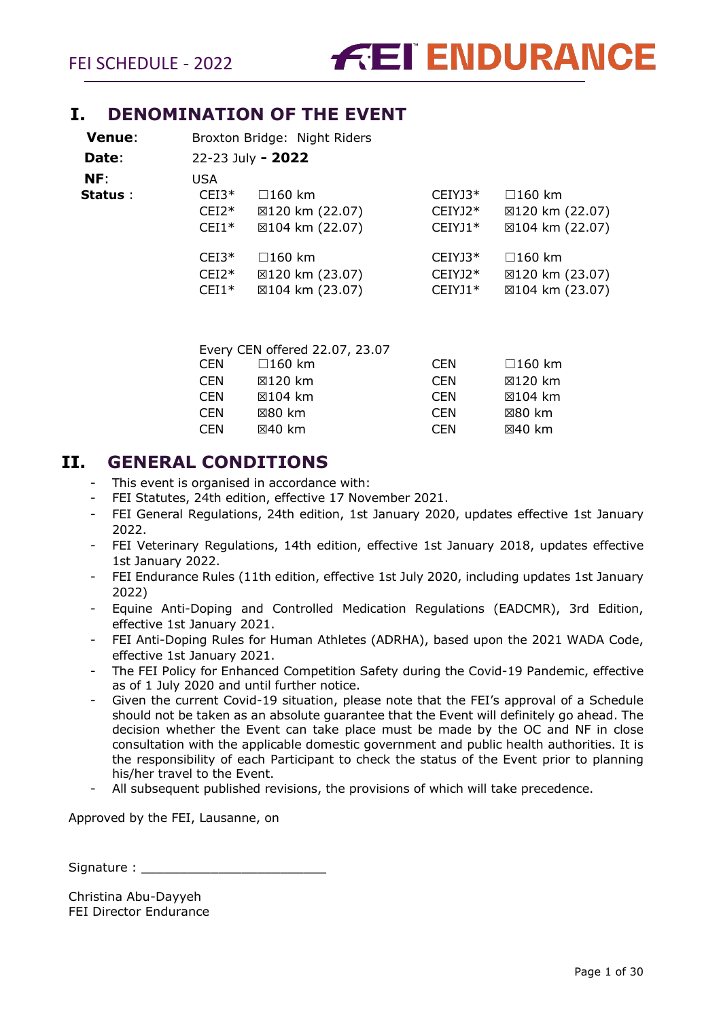## <span id="page-0-0"></span>**I. DENOMINATION OF THE EVENT**

| <b>Venue:</b> |         | Broxton Bridge: Night Riders   |           |                 |
|---------------|---------|--------------------------------|-----------|-----------------|
| Date:         |         | 22-23 July - 2022              |           |                 |
| NF:           | USA     |                                |           |                 |
| Status :      | $CEI3*$ | $\Box$ 160 km                  | $CEIYJ3*$ | $\Box$ 160 km   |
|               | $CEI2*$ | ⊠120 km (22.07)                | $CEIYJ2*$ | ⊠120 km (22.07) |
|               | $CEI1*$ | ⊠104 km (22.07)                | $CEIYJ1*$ | ⊠104 km (22.07) |
|               | $CEI3*$ | $\square$ 160 km               | $CEIYJ3*$ | $\Box$ 160 km   |
|               | $CEI2*$ | ⊠120 km (23.07)                | CEIYJ2*   | ⊠120 km (23.07) |
|               | $CEI1*$ | ⊠104 km (23.07)                | $CEIYJ1*$ | ⊠104 km (23.07) |
|               |         |                                |           |                 |
|               |         |                                |           |                 |
|               |         | Every CEN offered 22.07, 23.07 |           |                 |

|            | $L$ very delived $L$ , $L$ , $L$ , $L$ , $L$ , $L$ , $\frac{L}{L}$ , $\frac{L}{L}$ |            |                  |
|------------|------------------------------------------------------------------------------------|------------|------------------|
| <b>CEN</b> | $\square$ 160 km                                                                   | <b>CEN</b> | $\square$ 160 km |
| <b>CEN</b> | ⊠120 km                                                                            | <b>CEN</b> | ⊠120 km          |
| <b>CEN</b> | ⊠104 km                                                                            | <b>CEN</b> | ⊠104 km          |
| <b>CEN</b> | $\boxtimes$ 80 km                                                                  | CEN        | ⊠ $80$ km        |
| <b>CEN</b> | $\boxtimes$ 40 km                                                                  | <b>CEN</b> | ⊠40 km           |
|            |                                                                                    |            |                  |

## <span id="page-0-1"></span>**II. GENERAL CONDITIONS**

- This event is organised in accordance with:
- FEI Statutes, 24th edition, effective 17 November 2021.
- FEI General Regulations, 24th edition, 1st January 2020, updates effective 1st January 2022.
- FEI Veterinary Regulations, 14th edition, effective 1st January 2018, updates effective 1st January 2022.
- FEI Endurance Rules (11th edition, effective 1st July 2020, including updates 1st January 2022)
- Equine Anti-Doping and Controlled Medication Regulations (EADCMR), 3rd Edition, effective 1st January 2021.
- FEI Anti-Doping Rules for Human Athletes (ADRHA), based upon the 2021 WADA Code, effective 1st January 2021.
- The FEI Policy for Enhanced Competition Safety during the Covid-19 Pandemic, effective as of 1 July 2020 and until further notice.
- Given the current Covid-19 situation, please note that the FEI's approval of a Schedule should not be taken as an absolute guarantee that the Event will definitely go ahead. The decision whether the Event can take place must be made by the OC and NF in close consultation with the applicable domestic government and public health authorities. It is the responsibility of each Participant to check the status of the Event prior to planning his/her travel to the Event.
- All subsequent published revisions, the provisions of which will take precedence.

Approved by the FEI, Lausanne, on

Signature :

Christina Abu-Dayyeh FEI Director Endurance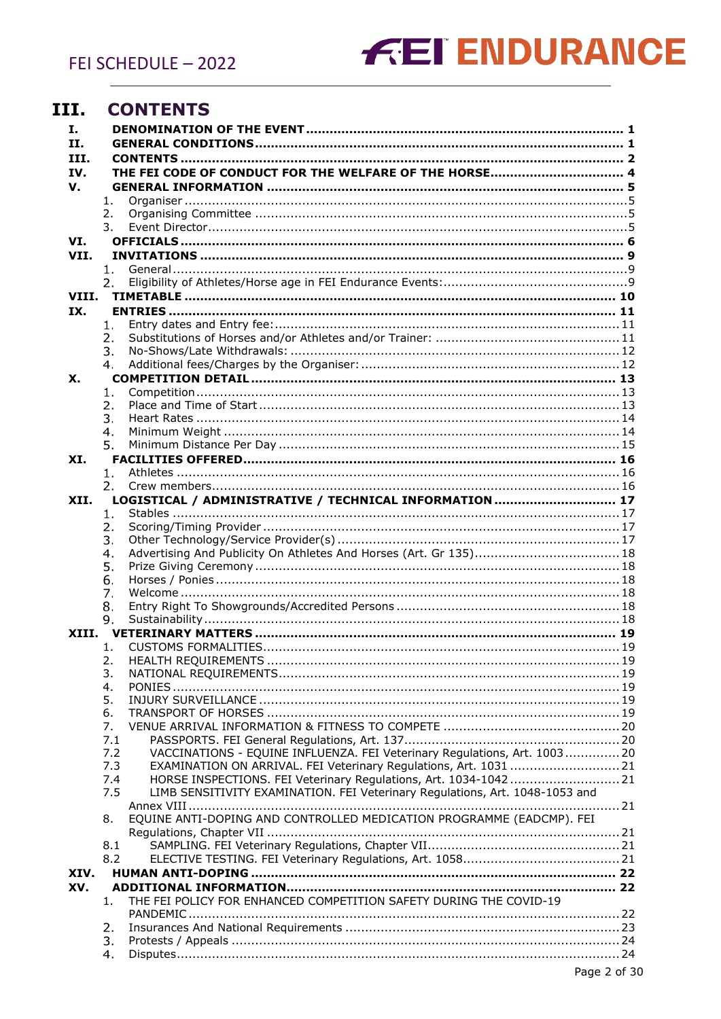## <span id="page-1-0"></span>III. CONTENTS

| Ι.    |                                                                                     |  |
|-------|-------------------------------------------------------------------------------------|--|
| Н.    |                                                                                     |  |
| III.  |                                                                                     |  |
| IV.   | THE FEI CODE OF CONDUCT FOR THE WELFARE OF THE HORSE 4                              |  |
| V.    |                                                                                     |  |
|       | 1.                                                                                  |  |
|       | 2.                                                                                  |  |
|       | 3.                                                                                  |  |
| VI.   |                                                                                     |  |
| VII.  |                                                                                     |  |
|       | 1.                                                                                  |  |
| VIII. | 2.                                                                                  |  |
| IX.   |                                                                                     |  |
|       | 1.                                                                                  |  |
|       | 2.                                                                                  |  |
|       | 3.                                                                                  |  |
|       | 4.                                                                                  |  |
| X.    |                                                                                     |  |
|       | 1.                                                                                  |  |
|       | 2.                                                                                  |  |
|       | 3.                                                                                  |  |
|       | 4.                                                                                  |  |
|       | 5.                                                                                  |  |
| XI.   |                                                                                     |  |
|       | 1.                                                                                  |  |
|       | 2.                                                                                  |  |
| XII.  | LOGISTICAL / ADMINISTRATIVE / TECHNICAL INFORMATION  17                             |  |
|       | 1.<br>2.                                                                            |  |
|       | 3.                                                                                  |  |
|       | Advertising And Publicity On Athletes And Horses (Art. Gr 135) 18<br>4.             |  |
|       | 5.                                                                                  |  |
|       | 6.                                                                                  |  |
|       | 7.                                                                                  |  |
|       | 8.                                                                                  |  |
|       | 9.                                                                                  |  |
|       |                                                                                     |  |
|       | 1.                                                                                  |  |
|       | 2.                                                                                  |  |
|       | 3.                                                                                  |  |
|       | 4.<br>5.                                                                            |  |
|       | 6.                                                                                  |  |
|       | 7.                                                                                  |  |
|       | 7.1                                                                                 |  |
|       | VACCINATIONS - EQUINE INFLUENZA. FEI Veterinary Regulations, Art. 100320<br>7.2     |  |
|       | 7.3<br>EXAMINATION ON ARRIVAL. FEI Veterinary Regulations, Art. 1031  21            |  |
|       | HORSE INSPECTIONS. FEI Veterinary Regulations, Art. 1034-1042  21<br>7.4            |  |
|       | LIMB SENSITIVITY EXAMINATION. FEI Veterinary Regulations, Art. 1048-1053 and<br>7.5 |  |
|       |                                                                                     |  |
|       | EQUINE ANTI-DOPING AND CONTROLLED MEDICATION PROGRAMME (EADCMP). FEI<br>8.          |  |
|       | 8.1                                                                                 |  |
|       | 8.2                                                                                 |  |
| XIV.  |                                                                                     |  |
| XV.   |                                                                                     |  |
|       | THE FEI POLICY FOR ENHANCED COMPETITION SAFETY DURING THE COVID-19<br>1.            |  |
|       |                                                                                     |  |
|       | 2.                                                                                  |  |
|       | 3.                                                                                  |  |
|       | 4.                                                                                  |  |
|       |                                                                                     |  |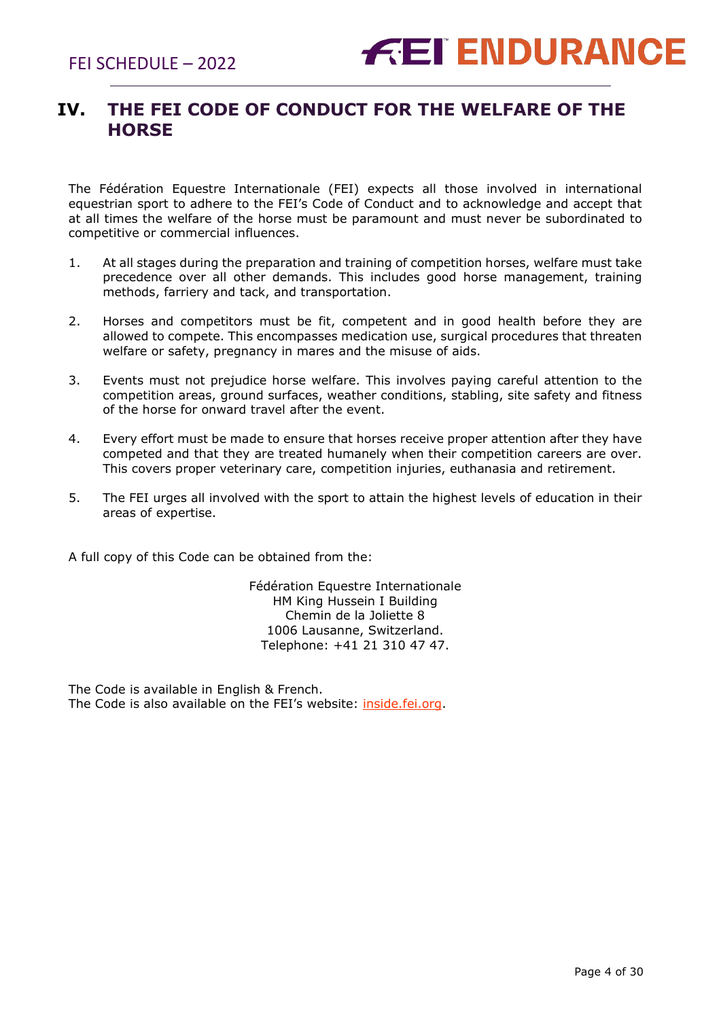## <span id="page-3-0"></span>**IV. THE FEI CODE OF CONDUCT FOR THE WELFARE OF THE HORSE**

The Fédération Equestre Internationale (FEI) expects all those involved in international equestrian sport to adhere to the FEI's Code of Conduct and to acknowledge and accept that at all times the welfare of the horse must be paramount and must never be subordinated to competitive or commercial influences.

- 1. At all stages during the preparation and training of competition horses, welfare must take precedence over all other demands. This includes good horse management, training methods, farriery and tack, and transportation.
- 2. Horses and competitors must be fit, competent and in good health before they are allowed to compete. This encompasses medication use, surgical procedures that threaten welfare or safety, pregnancy in mares and the misuse of aids.
- 3. Events must not prejudice horse welfare. This involves paying careful attention to the competition areas, ground surfaces, weather conditions, stabling, site safety and fitness of the horse for onward travel after the event.
- 4. Every effort must be made to ensure that horses receive proper attention after they have competed and that they are treated humanely when their competition careers are over. This covers proper veterinary care, competition injuries, euthanasia and retirement.
- 5. The FEI urges all involved with the sport to attain the highest levels of education in their areas of expertise.

A full copy of this Code can be obtained from the:

Fédération Equestre Internationale HM King Hussein I Building Chemin de la Joliette 8 1006 Lausanne, Switzerland. Telephone: +41 21 310 47 47.

The Code is available in English & French. The Code is also available on the FEI's website: [inside.fei.org.](http://www.fei.org/)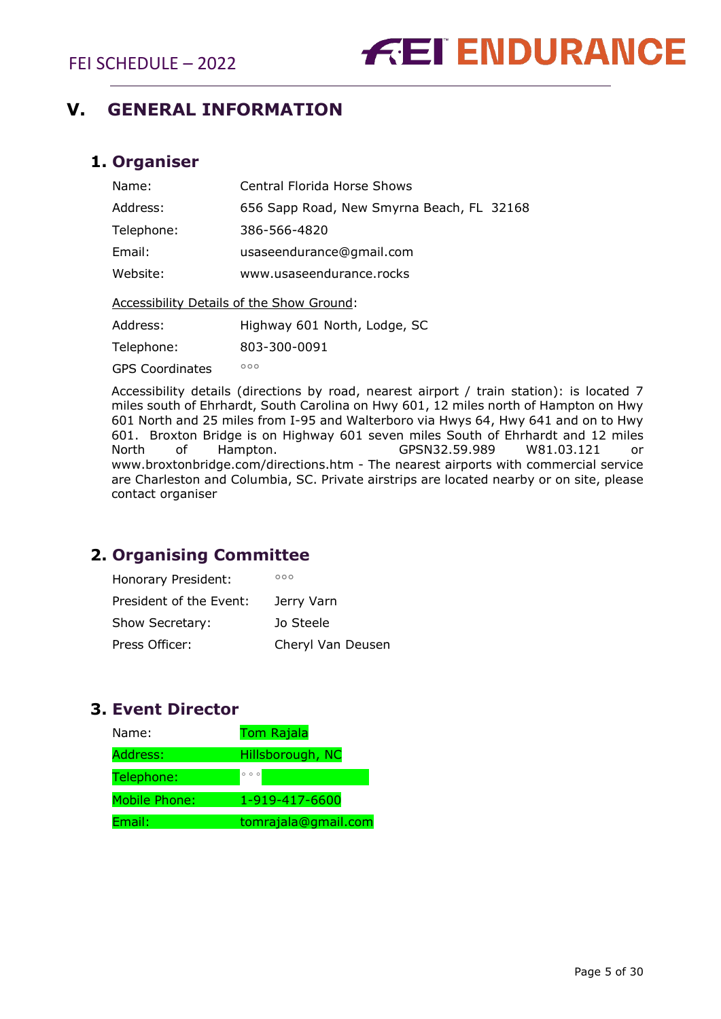## <span id="page-4-0"></span>**V. GENERAL INFORMATION**

## <span id="page-4-1"></span>**1. Organiser**

| Name:                                            | <b>Central Florida Horse Shows</b>        |  |  |  |  |  |
|--------------------------------------------------|-------------------------------------------|--|--|--|--|--|
| Address:                                         | 656 Sapp Road, New Smyrna Beach, FL 32168 |  |  |  |  |  |
| Telephone:                                       | 386-566-4820                              |  |  |  |  |  |
| Email:                                           | usaseendurance@gmail.com                  |  |  |  |  |  |
| Website:                                         | www.usaseendurance.rocks                  |  |  |  |  |  |
| <b>Accessibility Details of the Show Ground:</b> |                                           |  |  |  |  |  |

Address: Highway 601 North, Lodge, SC

Telephone: 803-300-0091

GPS Coordinates **°°**°

Accessibility details (directions by road, nearest airport / train station): is located 7 miles south of Ehrhardt, South Carolina on Hwy 601, 12 miles north of Hampton on Hwy 601 North and 25 miles from I-95 and Walterboro via Hwys 64, Hwy 641 and on to Hwy 601. Broxton Bridge is on Highway 601 seven miles South of Ehrhardt and 12 miles North of Hampton. GPSN32.59.989 W81.03.121 or www.broxtonbridge.com/directions.htm - The nearest airports with commercial service are Charleston and Columbia, SC. Private airstrips are located nearby or on site, please contact organiser

## <span id="page-4-2"></span>**2. Organising Committee**

| Honorary President:     | 000               |
|-------------------------|-------------------|
| President of the Event: | Jerry Varn        |
| Show Secretary:         | Jo Steele         |
| Press Officer:          | Cheryl Van Deusen |

## <span id="page-4-3"></span>**3. Event Director**

| Name:                | <b>Tom Rajala</b>   |
|----------------------|---------------------|
| Address:             | Hillsborough, NC    |
| Telephone:           | $0$ 0 0             |
| <b>Mobile Phone:</b> | 1-919-417-6600      |
| Email:               | tomrajala@gmail.com |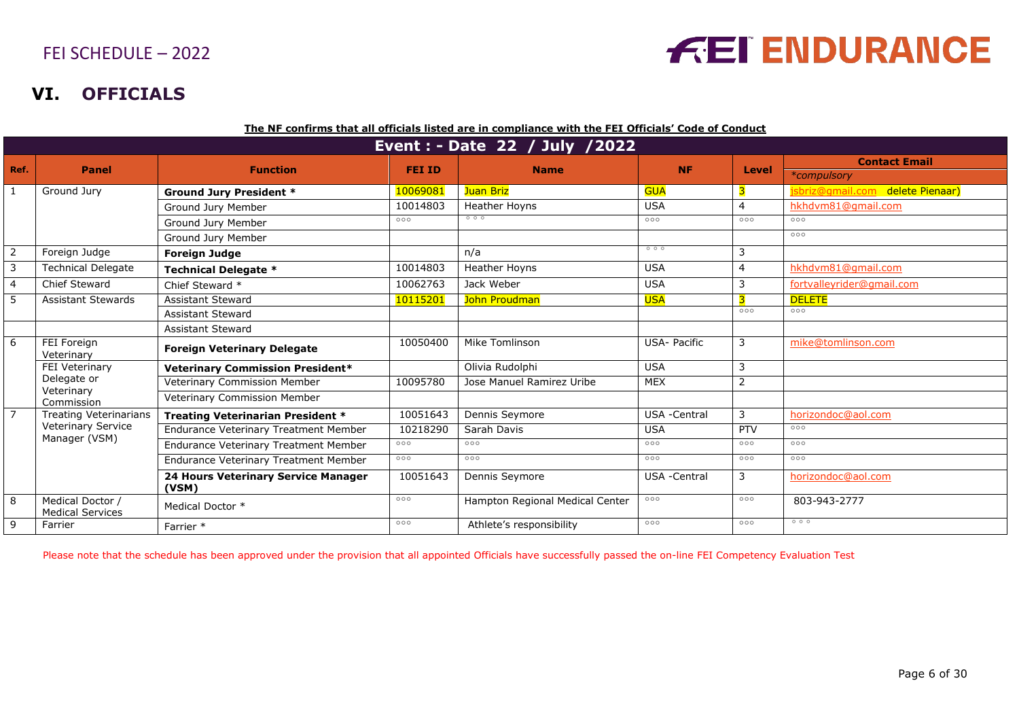## **VI. OFFICIALS**

|                | Event : - Date 22 / July /2022              |                                              |          |                                 |                     |                |                                  |  |
|----------------|---------------------------------------------|----------------------------------------------|----------|---------------------------------|---------------------|----------------|----------------------------------|--|
| Ref.           | <b>Function</b><br><b>Panel</b>             |                                              |          | <b>FEI ID</b><br><b>Name</b>    | <b>NF</b>           | Level          | <b>Contact Email</b>             |  |
|                |                                             |                                              |          |                                 |                     |                | *compulsory                      |  |
| 1              | Ground Jury                                 | <b>Ground Jury President *</b>               | 10069081 | Juan Briz                       | <b>GUA</b>          |                | jsbriz@gmail.com delete Pienaar) |  |
|                |                                             | Ground Jury Member                           | 10014803 | <b>Heather Hovns</b>            | <b>USA</b>          | 4              | hkhdym81@gmail.com               |  |
|                |                                             | Ground Jury Member                           | 000      | 000                             | 000                 | 000            | 000                              |  |
|                |                                             | Ground Jury Member                           |          |                                 |                     |                | 000                              |  |
| 2              | Foreign Judge                               | <b>Foreign Judge</b>                         |          | n/a                             | 000                 | 3              |                                  |  |
| 3              | <b>Technical Delegate</b>                   | <b>Technical Delegate *</b>                  | 10014803 | Heather Hoyns                   | <b>USA</b>          | 4              | hkhdvm81@gmail.com               |  |
| $\overline{4}$ | Chief Steward                               | Chief Steward *                              | 10062763 | Jack Weber                      | <b>USA</b>          | 3              | fortvalleyrider@gmail.com        |  |
| 5              | <b>Assistant Stewards</b>                   | <b>Assistant Steward</b>                     | 10115201 | John Proudman                   | <b>USA</b>          |                | <b>DELETE</b>                    |  |
|                |                                             | <b>Assistant Steward</b>                     |          |                                 |                     | 000            | 000                              |  |
|                |                                             | <b>Assistant Steward</b>                     |          |                                 |                     |                |                                  |  |
| 6              | FEI Foreign<br>Veterinary                   | <b>Foreign Veterinary Delegate</b>           | 10050400 | Mike Tomlinson                  | <b>USA- Pacific</b> | 3              | mike@tomlinson.com               |  |
|                | FEI Veterinary                              | <b>Veterinary Commission President*</b>      |          | Olivia Rudolphi                 | <b>USA</b>          | 3              |                                  |  |
|                | Delegate or<br>Veterinary                   | Veterinary Commission Member                 | 10095780 | Jose Manuel Ramirez Uribe       | <b>MEX</b>          | $\overline{2}$ |                                  |  |
|                | Commission                                  | Veterinary Commission Member                 |          |                                 |                     |                |                                  |  |
| $\overline{7}$ | <b>Treating Veterinarians</b>               | Treating Veterinarian President *            | 10051643 | Dennis Seymore                  | USA -Central        | 3              | horizondoc@aol.com               |  |
|                | Veterinary Service<br>Manager (VSM)         | <b>Endurance Veterinary Treatment Member</b> | 10218290 | Sarah Davis                     | <b>USA</b>          | PTV            | 000                              |  |
|                |                                             | <b>Endurance Veterinary Treatment Member</b> | 000      | 000                             | 000                 | 000            | 000                              |  |
|                |                                             | Endurance Veterinary Treatment Member        | 000      | 000                             | 000                 | 000            | 000                              |  |
|                |                                             | 24 Hours Veterinary Service Manager<br>(VSM) | 10051643 | Dennis Seymore                  | <b>USA</b> -Central | 3              | horizondoc@aol.com               |  |
| 8              | Medical Doctor /<br><b>Medical Services</b> | Medical Doctor *                             | 000      | Hampton Regional Medical Center | 000                 | 000            | 803-943-2777                     |  |
| 9              | Farrier                                     | Farrier *                                    | 000      | Athlete's responsibility        | 000                 | 000            | 000                              |  |

<span id="page-5-0"></span>Please note that the schedule has been approved under the provision that all appointed Officials have successfully passed the on-line FEI Competency Evaluation Test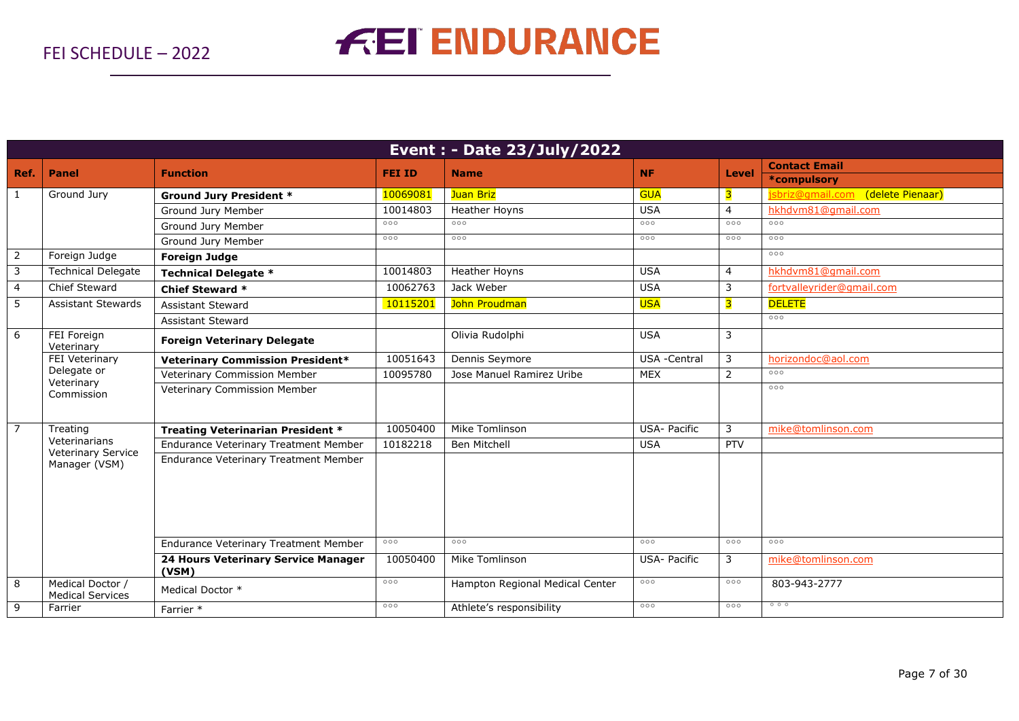|                | Event : - Date 23/July/2022                          |                                              |                     |                                 |                     |                |                                      |  |  |
|----------------|------------------------------------------------------|----------------------------------------------|---------------------|---------------------------------|---------------------|----------------|--------------------------------------|--|--|
| Ref.           | <b>Panel</b>                                         | <b>Function</b>                              | <b>FEI ID</b>       | <b>Name</b>                     | <b>NF</b>           | Level          | <b>Contact Email</b>                 |  |  |
|                |                                                      |                                              |                     |                                 |                     |                | *compulsory                          |  |  |
| 1              | Ground Jury                                          | <b>Ground Jury President *</b>               | 10069081            | Juan Briz                       | <b>GUA</b>          | 3              | (delete Pienaar)<br>isbriz@amail.com |  |  |
|                |                                                      | Ground Jury Member                           | 10014803            | Heather Hoyns                   | <b>USA</b>          | $\overline{4}$ | hkhdvm81@gmail.com                   |  |  |
|                |                                                      | Ground Jury Member                           | 000                 | 000                             | 000                 | 000            | 000                                  |  |  |
|                |                                                      | Ground Jury Member                           | 000                 | 000                             | 000                 | 000            | 000                                  |  |  |
| $\overline{2}$ | Foreign Judge                                        | <b>Foreign Judge</b>                         |                     |                                 |                     |                | 000                                  |  |  |
| 3              | <b>Technical Delegate</b>                            | <b>Technical Delegate *</b>                  | 10014803            | Heather Hoyns                   | <b>USA</b>          | $\overline{4}$ | hkhdvm81@gmail.com                   |  |  |
| $\overline{4}$ | Chief Steward                                        | <b>Chief Steward *</b>                       | 10062763            | Jack Weber                      | <b>USA</b>          | 3              | fortvalleyrider@gmail.com            |  |  |
| 5              | <b>Assistant Stewards</b>                            | Assistant Steward                            | 10115201            | John Proudman                   | <b>USA</b>          | 3              | <b>DELETE</b>                        |  |  |
|                |                                                      | Assistant Steward                            |                     |                                 |                     |                | 000                                  |  |  |
| 6              | FEI Foreign<br>Veterinary                            | <b>Foreign Veterinary Delegate</b>           |                     | Olivia Rudolphi                 | <b>USA</b>          | 3              |                                      |  |  |
|                | <b>FEI</b> Veterinary<br>Delegate or                 | <b>Veterinary Commission President*</b>      | 10051643            | Dennis Seymore                  | USA -Central        | 3              | horizondoc@aol.com                   |  |  |
|                |                                                      | Veterinary Commission Member                 | 10095780            | Jose Manuel Ramirez Uribe       | <b>MEX</b>          | $\overline{2}$ | 000                                  |  |  |
|                | Veterinary<br>Commission                             | Veterinary Commission Member                 |                     |                                 |                     |                | 000                                  |  |  |
| $\overline{7}$ | Treating                                             | <b>Treating Veterinarian President *</b>     | 10050400            | Mike Tomlinson                  | USA- Pacific        | 3              | mike@tomlinson.com                   |  |  |
|                | Veterinarians<br>Veterinary Service<br>Manager (VSM) | <b>Endurance Veterinary Treatment Member</b> | 10182218            | Ben Mitchell                    | <b>USA</b>          | <b>PTV</b>     |                                      |  |  |
|                |                                                      | <b>Endurance Veterinary Treatment Member</b> |                     |                                 |                     |                |                                      |  |  |
|                |                                                      | Endurance Veterinary Treatment Member        | $\circ \circ \circ$ | 000                             | 000                 | 000            | 000                                  |  |  |
|                |                                                      | 24 Hours Veterinary Service Manager<br>(VSM) | 10050400            | Mike Tomlinson                  | <b>USA- Pacific</b> | 3              | mike@tomlinson.com                   |  |  |
| 8              | Medical Doctor /<br><b>Medical Services</b>          | Medical Doctor *                             | 000                 | Hampton Regional Medical Center | 000                 | 000            | 803-943-2777                         |  |  |
| 9              | Farrier                                              | Farrier *                                    | 000                 | Athlete's responsibility        | 000                 | 000            | 000                                  |  |  |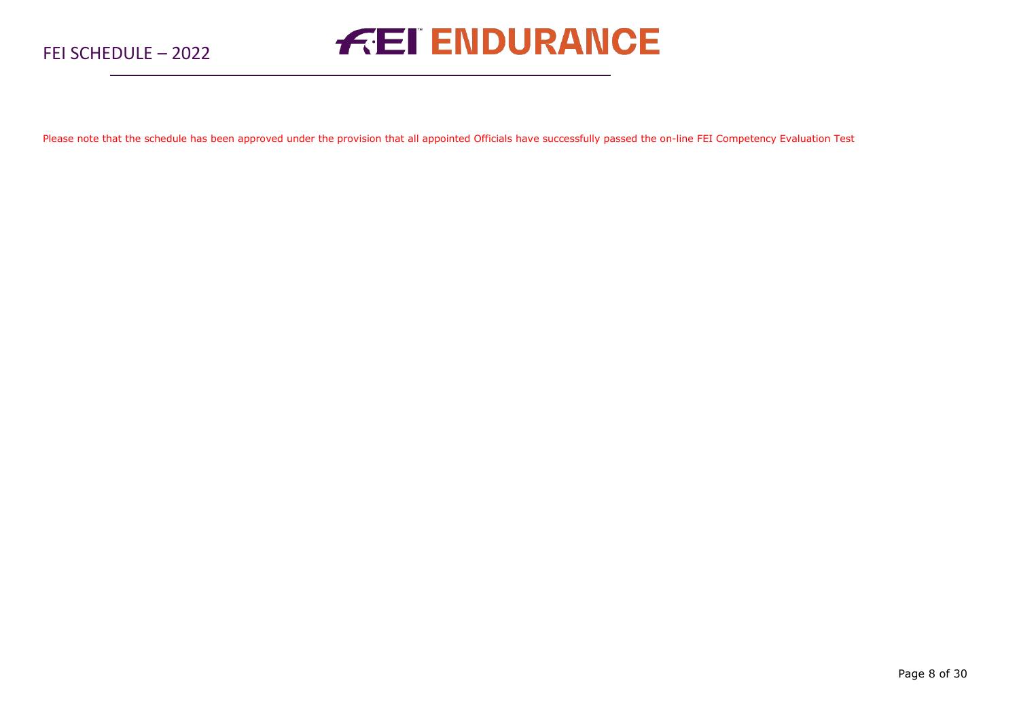Please note that the schedule has been approved under the provision that all appointed Officials have successfully passed the on-line FEI Competency Evaluation Test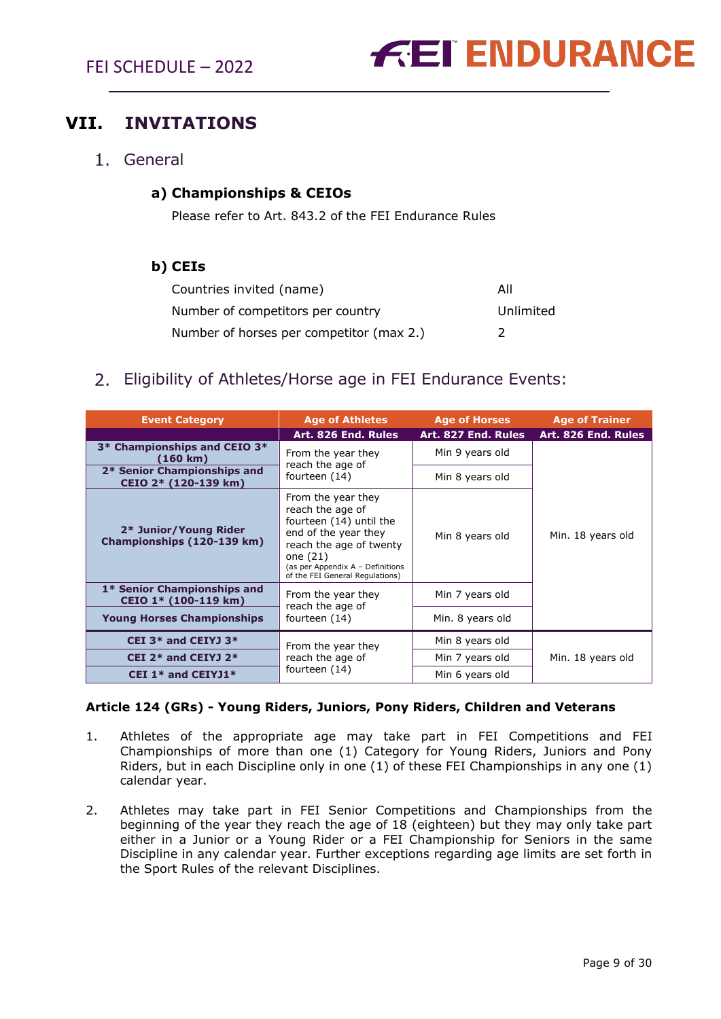## <span id="page-8-0"></span>**VII. INVITATIONS**

<span id="page-8-1"></span>General

## **a) Championships & CEIOs**

Please refer to Art. 843.2 of the FEI Endurance Rules

### **b) CEIs**

| Countries invited (name)                 | All       |
|------------------------------------------|-----------|
| Number of competitors per country        | Unlimited |
| Number of horses per competitor (max 2.) |           |

## <span id="page-8-2"></span>2. Eligibility of Athletes/Horse age in FEI Endurance Events:

| <b>Event Category</b>                                | <b>Age of Athletes</b>                                                                                                                                                                                    | <b>Age of Horses</b> | <b>Age of Trainer</b> |  |
|------------------------------------------------------|-----------------------------------------------------------------------------------------------------------------------------------------------------------------------------------------------------------|----------------------|-----------------------|--|
|                                                      | Art. 826 End. Rules                                                                                                                                                                                       | Art. 827 End. Rules  | Art. 826 End. Rules   |  |
| 3* Championships and CEIO 3*<br>$(160 \; \text{km})$ | From the year they<br>reach the age of                                                                                                                                                                    | Min 9 years old      |                       |  |
| 2* Senior Championships and<br>CEIO 2* (120-139 km)  | fourteen (14)                                                                                                                                                                                             | Min 8 years old      |                       |  |
| 2* Junior/Young Rider<br>Championships (120-139 km)  | From the year they<br>reach the age of<br>fourteen (14) until the<br>end of the year they<br>reach the age of twenty<br>one $(21)$<br>(as per Appendix A - Definitions<br>of the FEI General Regulations) | Min 8 years old      | Min. 18 years old     |  |
| 1* Senior Championships and<br>CEIO 1* (100-119 km)  | From the year they<br>reach the age of                                                                                                                                                                    | Min 7 years old      |                       |  |
| <b>Young Horses Championships</b>                    | fourteen (14)                                                                                                                                                                                             | Min. 8 years old     |                       |  |
| CEI 3* and CEIYJ 3*                                  | From the year they                                                                                                                                                                                        | Min 8 years old      |                       |  |
| CEI $2*$ and CEIYJ $2*$                              | reach the age of                                                                                                                                                                                          | Min 7 years old      | Min. 18 years old     |  |
| CEI 1* and CEIYJ1*                                   | fourteen (14)                                                                                                                                                                                             | Min 6 years old      |                       |  |

#### **Article 124 (GRs) - Young Riders, Juniors, Pony Riders, Children and Veterans**

- 1. Athletes of the appropriate age may take part in FEI Competitions and FEI Championships of more than one (1) Category for Young Riders, Juniors and Pony Riders, but in each Discipline only in one (1) of these FEI Championships in any one (1) calendar year.
- 2. Athletes may take part in FEI Senior Competitions and Championships from the beginning of the year they reach the age of 18 (eighteen) but they may only take part either in a Junior or a Young Rider or a FEI Championship for Seniors in the same Discipline in any calendar year. Further exceptions regarding age limits are set forth in the Sport Rules of the relevant Disciplines.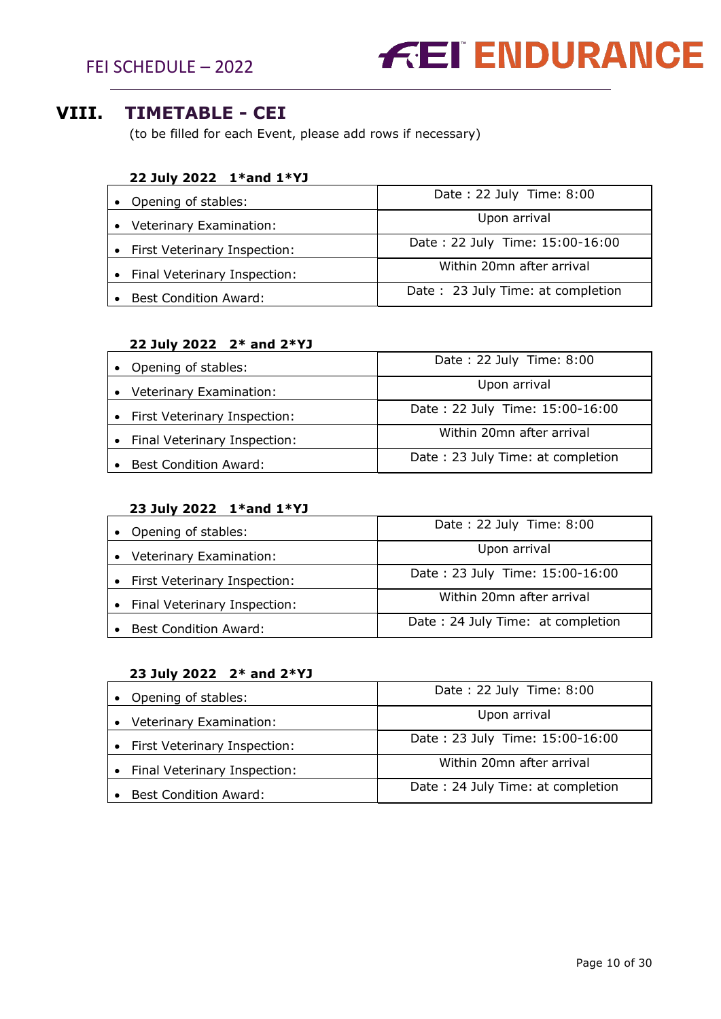FEI SCHEDULE – 2022



## <span id="page-9-0"></span>**VIII. TIMETABLE - CEI**

(to be filled for each Event, please add rows if necessary)

#### **22 July 2022 1\*and 1\*YJ**

| Opening of stables:          | Date: 22 July Time: 8:00          |  |
|------------------------------|-----------------------------------|--|
| Veterinary Examination:      | Upon arrival                      |  |
| First Veterinary Inspection: | Date: 22 July Time: 15:00-16:00   |  |
| Final Veterinary Inspection: | Within 20mn after arrival         |  |
| <b>Best Condition Award:</b> | Date: 23 July Time: at completion |  |

#### **22 July 2022 2\* and 2\*YJ**

| • Opening of stables:                | Date: 22 July Time: 8:00          |
|--------------------------------------|-----------------------------------|
| Veterinary Examination:<br>$\bullet$ | Upon arrival                      |
| • First Veterinary Inspection:       | Date: 22 July Time: 15:00-16:00   |
| • Final Veterinary Inspection:       | Within 20mn after arrival         |
| <b>Best Condition Award:</b>         | Date: 23 July Time: at completion |

### **23 July 2022 1\*and 1\*YJ**

| • Opening of stables:                | Date: 22 July Time: 8:00          |
|--------------------------------------|-----------------------------------|
| Veterinary Examination:<br>$\bullet$ | Upon arrival                      |
| • First Veterinary Inspection:       | Date: 23 July Time: 15:00-16:00   |
| • Final Veterinary Inspection:       | Within 20mn after arrival         |
| <b>Best Condition Award:</b>         | Date: 24 July Time: at completion |

## **23 July 2022 2\* and 2\*YJ**

| • Opening of stables:        | Date: 22 July Time: 8:00          |
|------------------------------|-----------------------------------|
| Veterinary Examination:      | Upon arrival                      |
| First Veterinary Inspection: | Date: 23 July Time: 15:00-16:00   |
| Final Veterinary Inspection: | Within 20mn after arrival         |
| <b>Best Condition Award:</b> | Date: 24 July Time: at completion |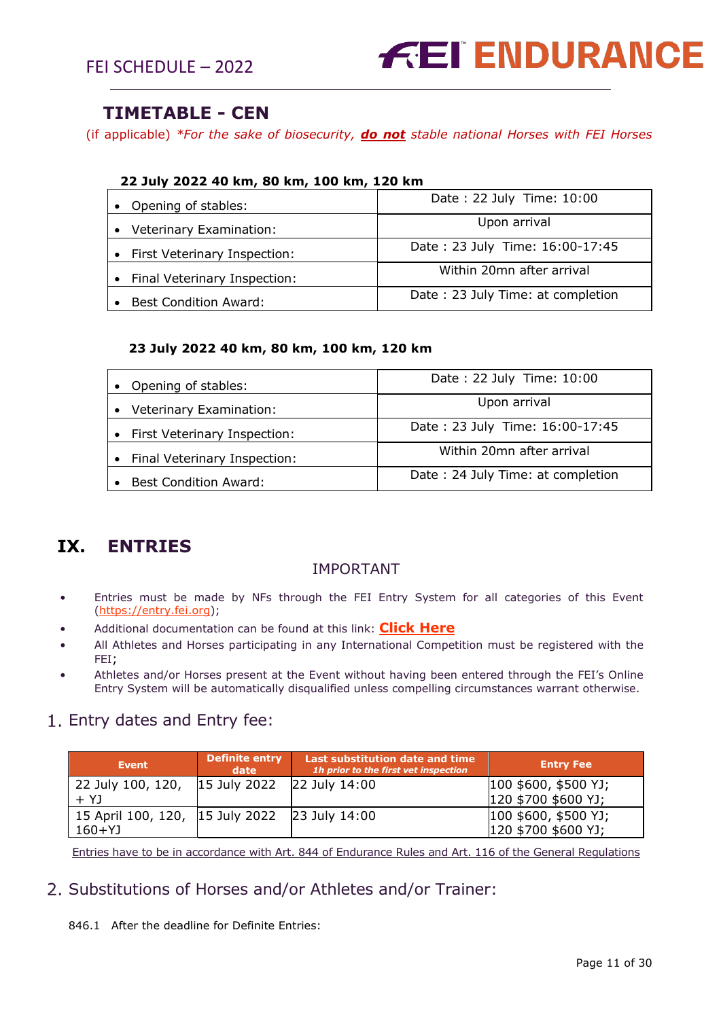

## **TIMETABLE - CEN**

(if applicable) *\*For the sake of biosecurity, do not stable national Horses with FEI Horses*

| • Opening of stables:          | Date: 22 July Time: 10:00         |
|--------------------------------|-----------------------------------|
| Veterinary Examination:        | Upon arrival                      |
| • First Veterinary Inspection: | Date: 23 July Time: 16:00-17:45   |
| Final Veterinary Inspection:   | Within 20mn after arrival         |
| <b>Best Condition Award:</b>   | Date: 23 July Time: at completion |

#### **23 July 2022 40 km, 80 km, 100 km, 120 km**

| Opening of stables:          | Date: 22 July Time: 10:00         |
|------------------------------|-----------------------------------|
| Veterinary Examination:      | Upon arrival                      |
| First Veterinary Inspection: | Date: 23 July Time: 16:00-17:45   |
| Final Veterinary Inspection: | Within 20mn after arrival         |
| <b>Best Condition Award:</b> | Date: 24 July Time: at completion |

## <span id="page-10-0"></span>**IX. ENTRIES**

#### IMPORTANT

- Entries must be made by NFs through the FEI Entry System for all categories of this Event [\(https://entry.fei.org\)](https://entry.fei.org/);
- Additional documentation can be found at this link: **[Click Here](https://inside.fei.org/fei/your-role/it-services/fei-entry-system/fei-entry-system-endurance)**
- All Athletes and Horses participating in any International Competition must be registered with the FEI;
- Athletes and/or Horses present at the Event without having been entered through the FEI's Online Entry System will be automatically disqualified unless compelling circumstances warrant otherwise.

## <span id="page-10-1"></span>1. Entry dates and Entry fee:

| <b>Event</b>                                  | Definite entry<br>date     | Last substitution date and time<br>1h prior to the first vet inspection | <b>Entry Fee</b>     |
|-----------------------------------------------|----------------------------|-------------------------------------------------------------------------|----------------------|
| 22 July 100, 120,                             | 15 July 2022 22 July 14:00 |                                                                         | 100 \$600, \$500 YJ; |
| $+ Y1$                                        |                            |                                                                         | 120 \$700 \$600 YJ;  |
| 15 April 100, 120, 15 July 2022 23 July 14:00 |                            |                                                                         | 100 \$600, \$500 YJ; |
| $160+YJ$                                      |                            |                                                                         | 120 \$700 \$600 YJ;  |

Entries have to be in accordance with Art. 844 of Endurance Rules and Art. 116 of the General Regulations

### <span id="page-10-2"></span>2. Substitutions of Horses and/or Athletes and/or Trainer:

846.1 After the deadline for Definite Entries: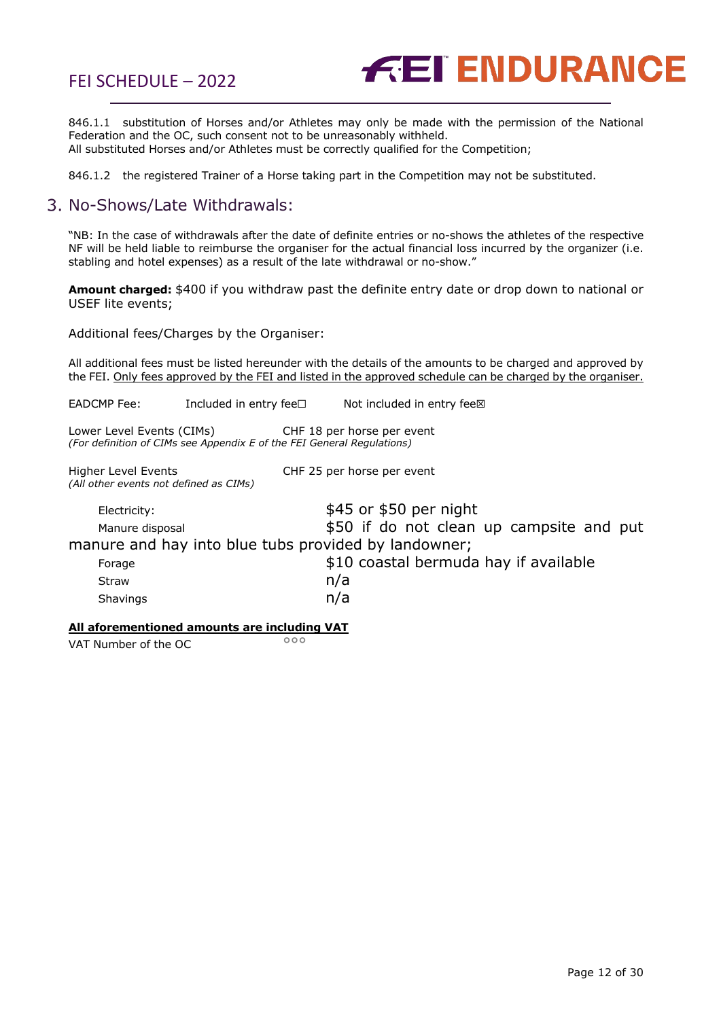FEI SCHEDULE – 2022



846.1.1 substitution of Horses and/or Athletes may only be made with the permission of the National Federation and the OC, such consent not to be unreasonably withheld. All substituted Horses and/or Athletes must be correctly qualified for the Competition;

846.1.2 the registered Trainer of a Horse taking part in the Competition may not be substituted.

## <span id="page-11-0"></span>3. No-Shows/Late Withdrawals:

"NB: In the case of withdrawals after the date of definite entries or no-shows the athletes of the respective NF will be held liable to reimburse the organiser for the actual financial loss incurred by the organizer (i.e. stabling and hotel expenses) as a result of the late withdrawal or no-show."

**Amount charged:** \$400 if you withdraw past the definite entry date or drop down to national or USEF lite events;

<span id="page-11-1"></span>Additional fees/Charges by the Organiser:

All additional fees must be listed hereunder with the details of the amounts to be charged and approved by the FEI. Only fees approved by the FEI and listed in the approved schedule can be charged by the organiser.

EADCMP Fee: Included in entry fee□ Not included in entry fee⊠

Lower Level Events (CIMs) CHF 18 per horse per event *(For definition of CIMs see Appendix E of the FEI General Regulations)*

Higher Level Events CHF 25 per horse per event *(All other events not defined as CIMs)*

Electricity:  $$45$  or \$50 per night Manure disposal **1980** S50 if do not clean up campsite and put manure and hay into blue tubs provided by landowner; Forage **\$10 coastal bermuda hay if available** Straw **n/a** Shavings n/a

#### **All aforementioned amounts are including VAT**

VAT Number of the  $OC$ <sup>ooo</sup>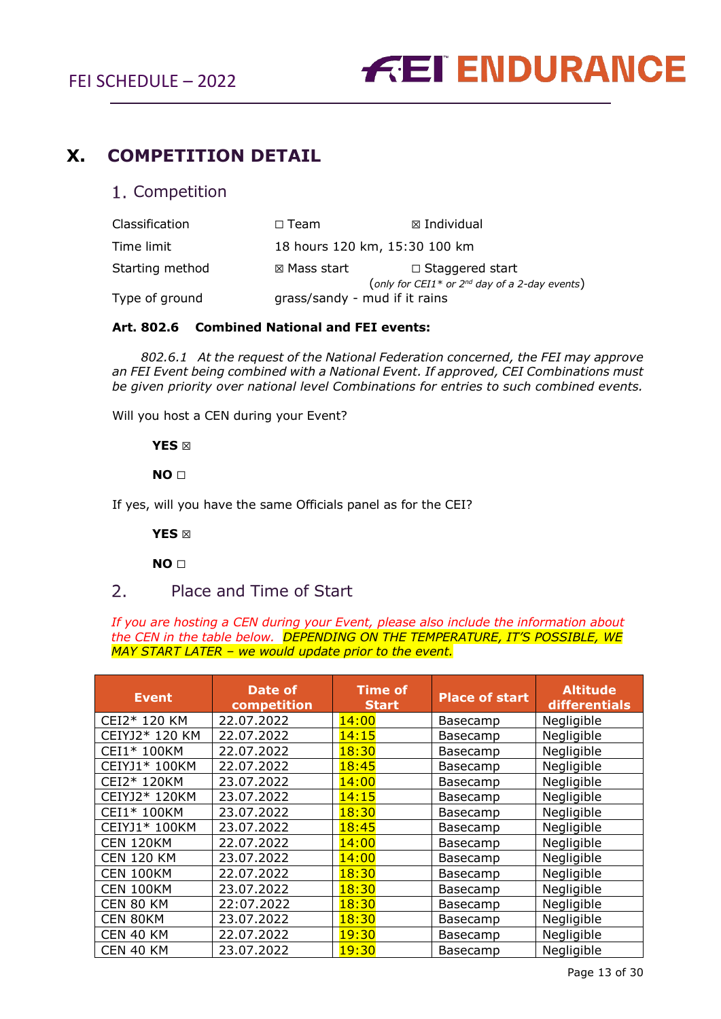

## <span id="page-12-1"></span><span id="page-12-0"></span>**X. COMPETITION DETAIL**

#### 1. Competition

| Classification  | $\Box$ Team                                                                         | $\boxtimes$ Individual |
|-----------------|-------------------------------------------------------------------------------------|------------------------|
| Time limit      | 18 hours 120 km, 15:30 100 km                                                       |                        |
| Starting method | $\boxtimes$ Mass start                                                              | $\Box$ Staggered start |
| Type of ground  | (only for CEI1* or $2^{nd}$ day of a 2-day events)<br>grass/sandy - mud if it rains |                        |

#### **Art. 802.6 Combined National and FEI events:**

 *802.6.1 At the request of the National Federation concerned, the FEI may approve an FEI Event being combined with a National Event. If approved, CEI Combinations must be given priority over national level Combinations for entries to such combined events.*

Will you host a CEN during your Event?

 **YES** ☒

 **NO** ☐

If yes, will you have the same Officials panel as for the CEI?

 **YES** ☒

<span id="page-12-2"></span> **NO** ☐

#### $2<sub>1</sub>$ Place and Time of Start

*If you are hosting a CEN during your Event, please also include the information about the CEN in the table below. DEPENDING ON THE TEMPERATURE, IT'S POSSIBLE, WE MAY START LATER – we would update prior to the event.* 

| <b>Event</b>      | Date of<br>competition | <b>Time of</b><br><b>Start</b> | <b>Place of start</b> | <b>Altitude</b><br>differentials |
|-------------------|------------------------|--------------------------------|-----------------------|----------------------------------|
| CEI2* 120 KM      | 22.07.2022             | 14:00                          | <b>Basecamp</b>       | Negligible                       |
| CEIYJ2* 120 KM    | 22.07.2022             | 14:15                          | Basecamp              | Negligible                       |
| CEI1* 100KM       | 22.07.2022             | 18:30                          | Basecamp              | Negligible                       |
| CEIYJ1* 100KM     | 22.07.2022             | 18:45                          | Basecamp              | Negligible                       |
| CEI2* 120KM       | 23.07.2022             | 14:00                          | Basecamp              | Negligible                       |
| CEIYJ2* 120KM     | 23.07.2022             | 14:15                          | Basecamp              | Negligible                       |
| CEI1* 100KM       | 23.07.2022             | 18:30                          | Basecamp              | Negligible                       |
| CEIYJ1* 100KM     | 23.07.2022             | 18:45                          | Basecamp              | Negligible                       |
| <b>CEN 120KM</b>  | 22.07.2022             | 14:00                          | Basecamp              | Negligible                       |
| <b>CEN 120 KM</b> | 23.07.2022             | 14:00                          | Basecamp              | Negligible                       |
| CEN 100KM         | 22.07.2022             | 18:30                          | Basecamp              | Negligible                       |
| CEN 100KM         | 23.07.2022             | 18:30                          | Basecamp              | Negligible                       |
| CEN 80 KM         | 22:07.2022             | 18:30                          | Basecamp              | Negligible                       |
| CEN 80KM          | 23.07.2022             | 18:30                          | Basecamp              | Negligible                       |
| CEN 40 KM         | 22.07.2022             | 19:30                          | Basecamp              | Negligible                       |
| CEN 40 KM         | 23.07.2022             | 19:30                          | Basecamp              | Negligible                       |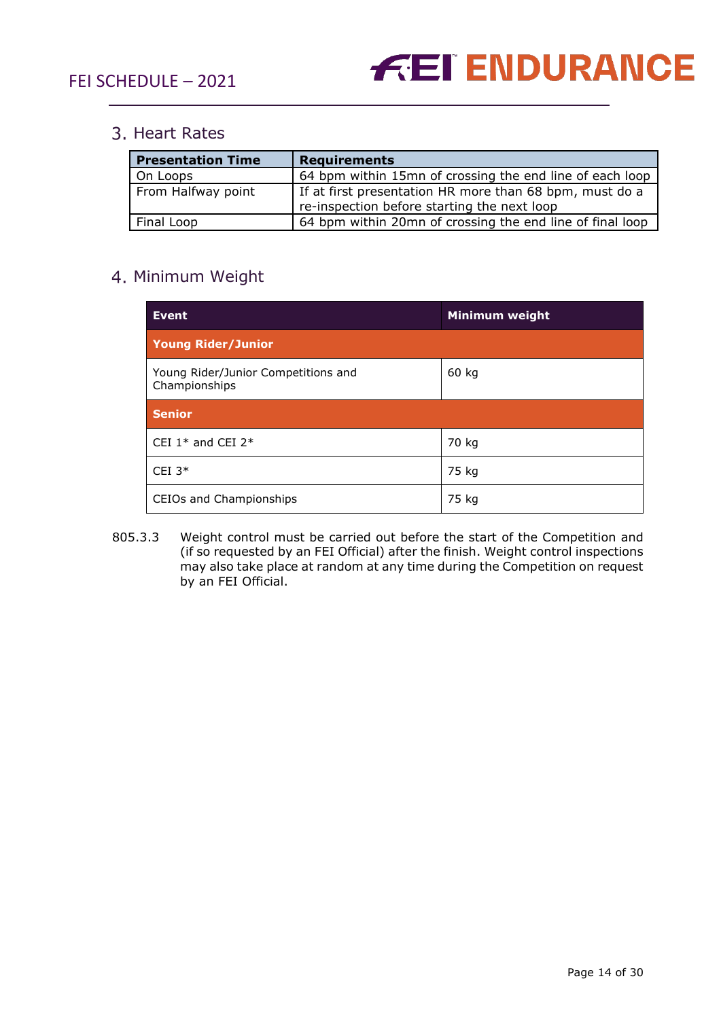

## <span id="page-13-0"></span>3. Heart Rates

| <b>Presentation Time</b> | <b>Requirements</b>                                                                                    |
|--------------------------|--------------------------------------------------------------------------------------------------------|
| On Loops                 | 64 bpm within 15mn of crossing the end line of each loop                                               |
| From Halfway point       | If at first presentation HR more than 68 bpm, must do a<br>re-inspection before starting the next loop |
| Final Loop               | 64 bpm within 20mn of crossing the end line of final loop                                              |

## <span id="page-13-1"></span>4. Minimum Weight

| <b>Event</b>                                         | <b>Minimum weight</b> |  |
|------------------------------------------------------|-----------------------|--|
| <b>Young Rider/Junior</b>                            |                       |  |
| Young Rider/Junior Competitions and<br>Championships | 60 kg                 |  |
| <b>Senior</b>                                        |                       |  |
| CEI 1 <sup>*</sup> and CEI 2 <sup>*</sup>            | 70 kg                 |  |
| CEI $3*$                                             | 75 kg                 |  |
| CEIOs and Championships                              | 75 kg                 |  |

805.3.3 Weight control must be carried out before the start of the Competition and (if so requested by an FEI Official) after the finish. Weight control inspections may also take place at random at any time during the Competition on request by an FEI Official.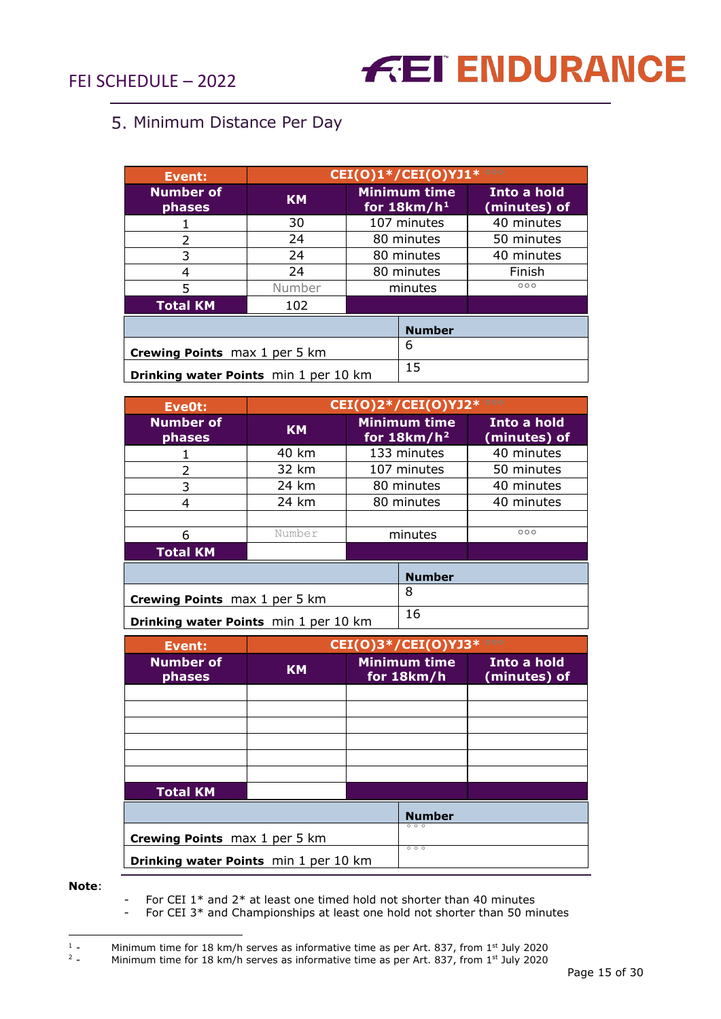## <span id="page-14-0"></span>5. Minimum Distance Per Day

| <b>Event:</b>                         | $CET(O)1*/CEI(O)YJ1*$ |                                      |                             |
|---------------------------------------|-----------------------|--------------------------------------|-----------------------------|
| <b>Number of</b><br>phases            | <b>KM</b>             | <b>Minimum time</b><br>for $18km/h1$ | Into a hold<br>(minutes) of |
|                                       | 30                    | 107 minutes                          | 40 minutes                  |
| $\overline{\phantom{a}}$              | 24                    | 80 minutes                           | 50 minutes                  |
| 3                                     | 24                    | 80 minutes                           | 40 minutes                  |
| 4                                     | 24                    | 80 minutes                           | Finish                      |
| 5                                     | Number                | minutes                              | 000                         |
| <b>Total KM</b>                       | 102                   |                                      |                             |
|                                       |                       | <b>Number</b>                        |                             |
| <b>Crewing Points</b> max 1 per 5 km  |                       | 6                                    |                             |
| Drinking water Points min 1 per 10 km |                       | 15                                   |                             |

| Eve0t:                                | <b>CEI(0)2*/CEI(0)YJ2*</b> 000 |               |                                       |                             |
|---------------------------------------|--------------------------------|---------------|---------------------------------------|-----------------------------|
| <b>Number of</b><br>phases            | <b>KM</b>                      |               | <b>Minimum time</b><br>for $18km/h^2$ | Into a hold<br>(minutes) of |
|                                       | 40 km                          |               | 133 minutes                           | 40 minutes                  |
| $\mathcal{L}$                         | 32 km                          |               | 107 minutes                           | 50 minutes                  |
| 3                                     | 24 km                          |               | 80 minutes                            | 40 minutes                  |
| 4                                     | 24 km                          |               | 80 minutes                            | 40 minutes                  |
|                                       |                                |               |                                       |                             |
| 6                                     | Number                         |               | minutes                               | 000                         |
| <b>Total KM</b>                       |                                |               |                                       |                             |
|                                       |                                | <b>Number</b> |                                       |                             |
| <b>Crewing Points</b> max 1 per 5 km  |                                | 8             |                                       |                             |
| Drinking water Points min 1 per 10 km |                                | 16            |                                       |                             |

| Event:                                | <b>CEI(O)3*/CEI(O)YJ3*</b> 000 |  |                                   |                             |
|---------------------------------------|--------------------------------|--|-----------------------------------|-----------------------------|
| <b>Number of</b><br>phases            | <b>KM</b>                      |  | <b>Minimum time</b><br>for 18km/h | Into a hold<br>(minutes) of |
|                                       |                                |  |                                   |                             |
|                                       |                                |  |                                   |                             |
|                                       |                                |  |                                   |                             |
|                                       |                                |  |                                   |                             |
|                                       |                                |  |                                   |                             |
|                                       |                                |  |                                   |                             |
| <b>Total KM</b>                       |                                |  |                                   |                             |
|                                       |                                |  | <b>Number</b>                     |                             |
| <b>Crewing Points</b> max 1 per 5 km  |                                |  | 000                               |                             |
| Drinking water Points min 1 per 10 km |                                |  | 000                               |                             |

**Note**:

For CEI  $1*$  and  $2*$  at least one timed hold not shorter than 40 minutes

- For CEI 3\* and Championships at least one hold not shorter than 50 minutes

<span id="page-14-1"></span><sup>&</sup>lt;sup>1</sup> - Minimum time for 18 km/h serves as informative time as per Art. 837, from 1<sup>st</sup> July 2020

<span id="page-14-2"></span><sup>&</sup>lt;sup>2</sup> - Minimum time for 18 km/h serves as informative time as per Art. 837, from 1<sup>st</sup> July 2020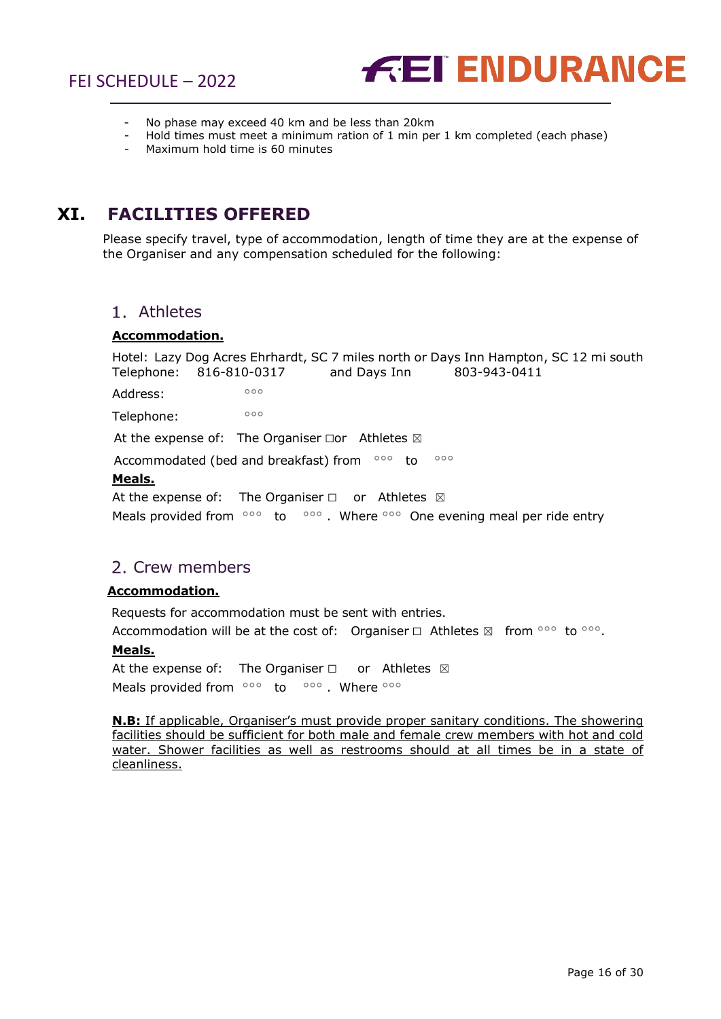

- No phase may exceed 40 km and be less than 20 km
- Hold times must meet a minimum ration of 1 min per 1 km completed (each phase)
- Maximum hold time is 60 minutes

## <span id="page-15-0"></span>**XI. FACILITIES OFFERED**

Please specify travel, type of accommodation, length of time they are at the expense of the Organiser and any compensation scheduled for the following:

#### <span id="page-15-1"></span>Athletes

#### **Accommodation.**

Hotel: Lazy Dog Acres Ehrhardt, SC 7 miles north or Days Inn Hampton, SC 12 mi south Telephone: 816-810-0317 and Days Inn 803-943-0411

Address: 000

Telephone: 000

At the expense of: The Organiser  $\square$ or Athletes  $\boxtimes$ 

Accommodated (bed and breakfast) from  $\circ \circ \circ$  to  $\circ \circ \circ$ 

#### **Meals.**

At the expense of: The Organiser  $□$  or Athletes  $□$ Meals provided from <sup>ooo</sup> to <sup>ooo</sup>. Where <sup>ooo</sup> One evening meal per ride entry

## <span id="page-15-2"></span>2. Crew members

#### **Accommodation.**

Requests for accommodation must be sent with entries. Accommodation will be at the cost of: Organiser  $\Box$  Athletes  $\boxtimes$  from °°° to °°°.

#### **Meals.**

At the expense of: The Organiser  $□$  or Athletes  $□$ Meals provided from °°° to °°° . Where °°°

**N.B:** If applicable, Organiser's must provide proper sanitary conditions. The showering facilities should be sufficient for both male and female crew members with hot and cold water. Shower facilities as well as restrooms should at all times be in a state of cleanliness.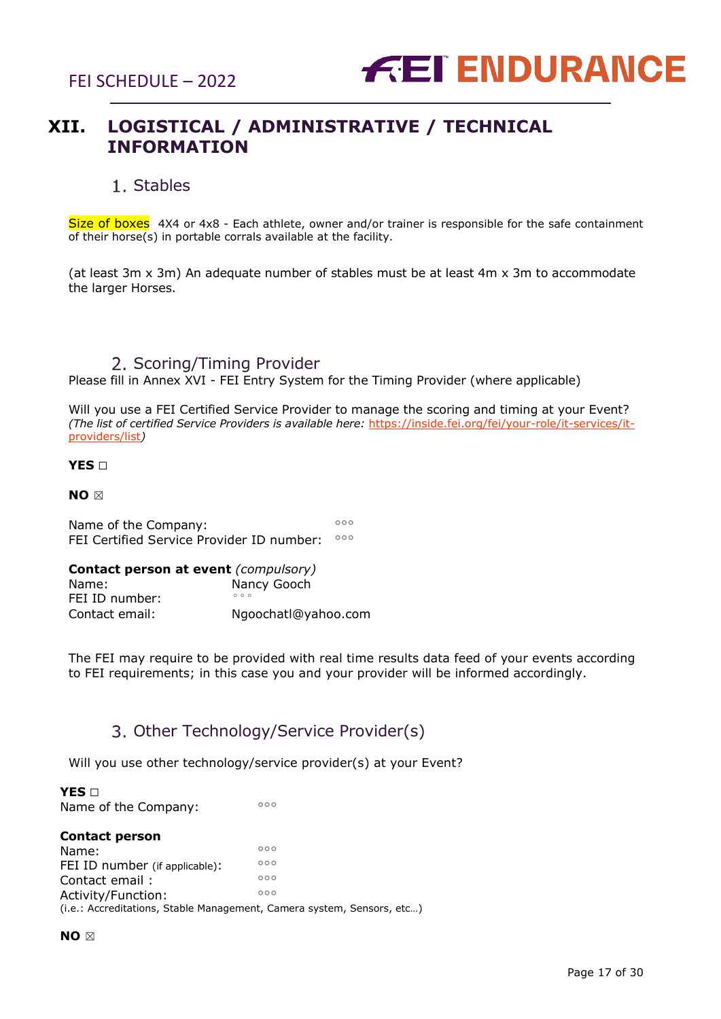

## <span id="page-16-0"></span>**XII. LOGISTICAL / ADMINISTRATIVE / TECHNICAL INFORMATION**

### Stables

<span id="page-16-1"></span>Size of boxes 4X4 or 4x8 - Each athlete, owner and/or trainer is responsible for the safe containment of their horse(s) in portable corrals available at the facility.

(at least 3m x 3m) An adequate number of stables must be at least 4m x 3m to accommodate the larger Horses.

### 2. Scoring/Timing Provider

<span id="page-16-2"></span>Please fill in Annex XVI - FEI Entry System for the Timing Provider (where applicable)

Will you use a FEI Certified Service Provider to manage the scoring and timing at your Event? *(The list of certified Service Providers is available here:* [https://inside.fei.org/fei/your-role/it-services/it](https://inside.fei.org/fei/your-role/it-services/it-providers/list)[providers/list](https://inside.fei.org/fei/your-role/it-services/it-providers/list)*)* 

**YES** ☐

**NO** ☒

Name of the Company:  $^{\circ\circ\circ}$ FEI Certified Service Provider ID number: °°°

| <b>Contact person at event (compulsory)</b> |                     |  |
|---------------------------------------------|---------------------|--|
| Name:                                       | Nancy Gooch         |  |
| FEI ID number:                              | 000                 |  |
| Contact email:                              | Ngoochatl@yahoo.com |  |

The FEI may require to be provided with real time results data feed of your events according to FEI requirements; in this case you and your provider will be informed accordingly.

## 3. Other Technology/Service Provider(s)

<span id="page-16-3"></span>Will you use other technology/service provider(s) at your Event?

**YES** □ Name of the Company:

#### **Contact person**

Name:  $\frac{1}{\sqrt{2}}$ FEI ID number (if applicable):  $\frac{000}{200}$ Contact email :  $^{\circ\circ}$ Activity/Function: (i.e.: Accreditations, Stable Management, Camera system, Sensors, etc…)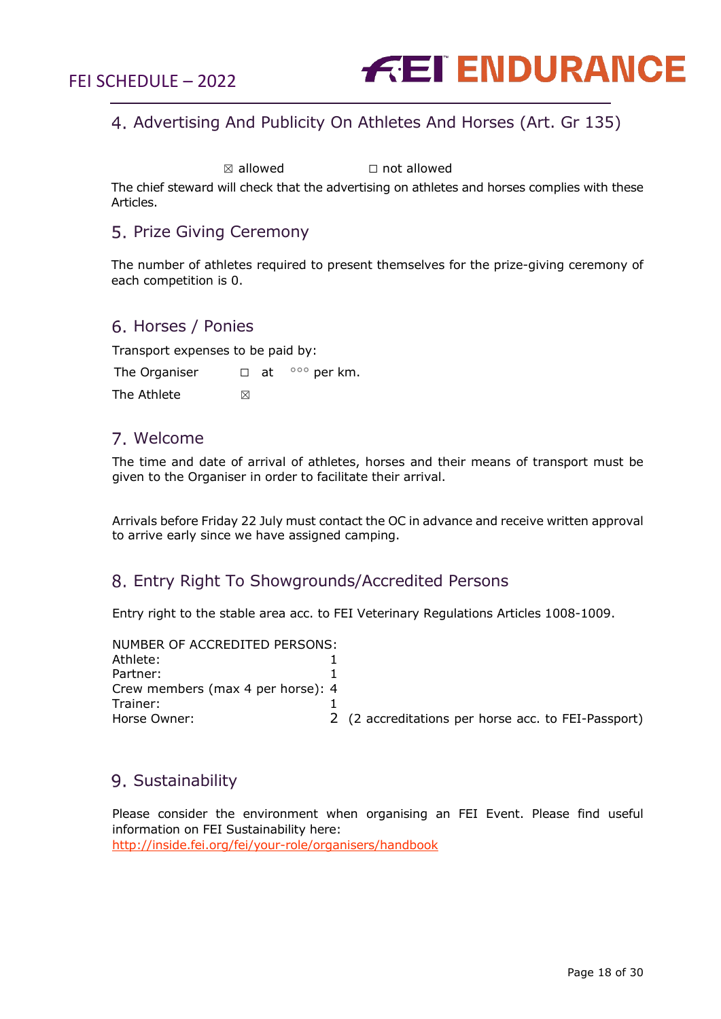

## <span id="page-17-0"></span>Advertising And Publicity On Athletes And Horses (Art. Gr 135)

 $\boxtimes$  allowed  $\Box$  not allowed

The chief steward will check that the advertising on athletes and horses complies with these Articles.

## <span id="page-17-1"></span>5. Prize Giving Ceremony

The number of athletes required to present themselves for the prize-giving ceremony of each competition is 0.

#### <span id="page-17-2"></span>6. Horses / Ponies

Transport expenses to be paid by:

The Organiser  $□$  at  $|$ °°° per km.

The Athlete  $\boxtimes$ 

### <span id="page-17-3"></span>Welcome

The time and date of arrival of athletes, horses and their means of transport must be given to the Organiser in order to facilitate their arrival.

Arrivals before Friday 22 July must contact the OC in advance and receive written approval to arrive early since we have assigned camping.

### <span id="page-17-4"></span>Entry Right To Showgrounds/Accredited Persons

Entry right to the stable area acc. to FEI Veterinary Regulations Articles 1008-1009.

| NUMBER OF ACCREDITED PERSONS:     |                                                     |
|-----------------------------------|-----------------------------------------------------|
| Athlete:                          |                                                     |
| Partner:                          |                                                     |
| Crew members (max 4 per horse): 4 |                                                     |
| Trainer:                          |                                                     |
| Horse Owner:                      | 2 (2 accreditations per horse acc. to FEI-Passport) |

## <span id="page-17-5"></span>9. Sustainability

Please consider the environment when organising an FEI Event. Please find useful information on FEI Sustainability here: <http://inside.fei.org/fei/your-role/organisers/handbook>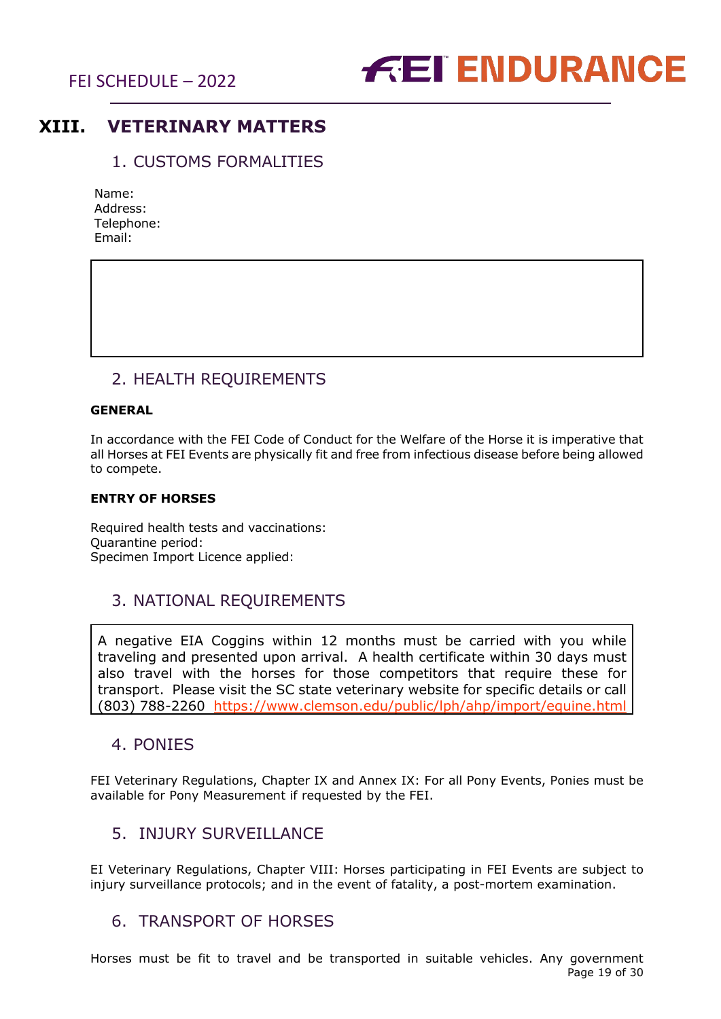

## <span id="page-18-0"></span>**XIII. VETERINARY MATTERS**

## 1. CUSTOMS FORMALITIES

<span id="page-18-1"></span>

| Name:      |
|------------|
| Address:   |
| Telephone: |
| Email:     |

## 2. HEALTH REQUIREMENTS

#### <span id="page-18-2"></span>**GENERAL**

In accordance with the FEI Code of Conduct for the Welfare of the Horse it is imperative that all Horses at FEI Events are physically fit and free from infectious disease before being allowed to compete.

#### **ENTRY OF HORSES**

Required health tests and vaccinations: Quarantine period: Specimen Import Licence applied:

## <span id="page-18-3"></span>3. NATIONAL REQUIREMENTS

A negative EIA Coggins within 12 months must be carried with you while traveling and presented upon arrival. A health certificate within 30 days must also travel with the horses for those competitors that require these for transport. Please visit the SC state veterinary website for specific details or call (803) 788-2260 <https://www.clemson.edu/public/lph/ahp/import/equine.html>

## <span id="page-18-4"></span>4. PONIES

FEI Veterinary Regulations, Chapter IX and Annex IX: For all Pony Events, Ponies must be available for Pony Measurement if requested by the FEI.

## <span id="page-18-5"></span>5. INJURY SURVEILLANCE

EI Veterinary Regulations, Chapter VIII: Horses participating in FEI Events are subject to injury surveillance protocols; and in the event of fatality, a post-mortem examination.

## <span id="page-18-6"></span>6. TRANSPORT OF HORSES

Page 19 of 30 Horses must be fit to travel and be transported in suitable vehicles. Any government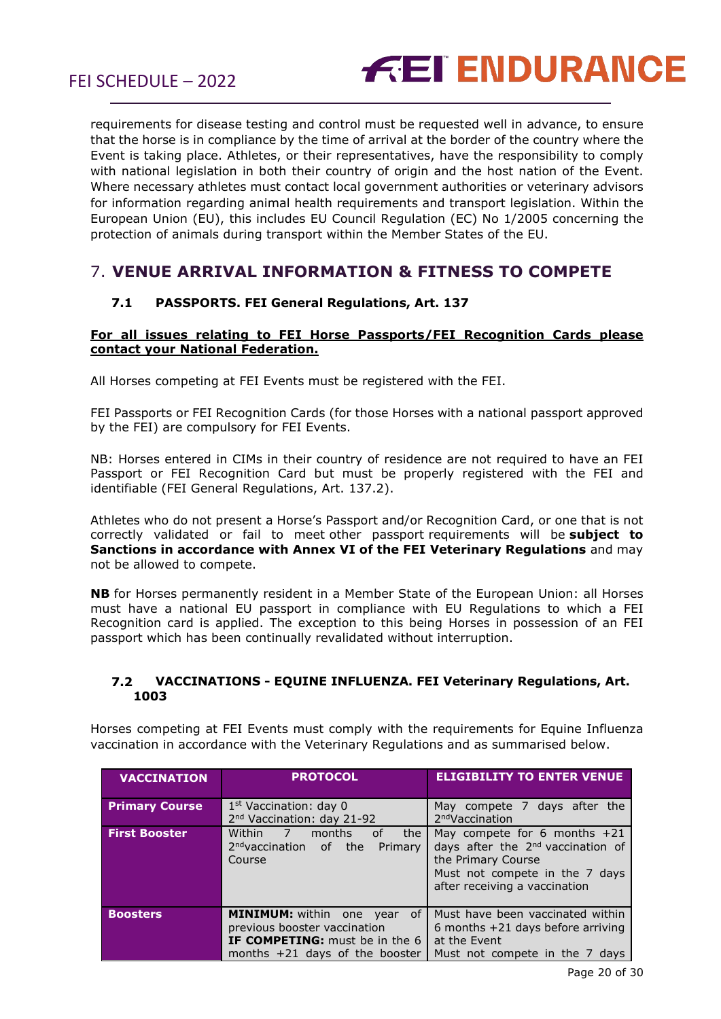

requirements for disease testing and control must be requested well in advance, to ensure that the horse is in compliance by the time of arrival at the border of the country where the Event is taking place. Athletes, or their representatives, have the responsibility to comply with national legislation in both their country of origin and the host nation of the Event. Where necessary athletes must contact local government authorities or veterinary advisors for information regarding animal health requirements and transport legislation. Within the European Union (EU), this includes EU Council Regulation (EC) No 1/2005 concerning the protection of animals during transport within the Member States of the EU.

## <span id="page-19-1"></span><span id="page-19-0"></span>7. **VENUE ARRIVAL INFORMATION & FITNESS TO COMPETE**

#### **7.1 PASSPORTS. FEI General Regulations, Art. 137**

#### **For all issues relating to FEI Horse Passports/FEI Recognition Cards please contact your National Federation.**

All Horses competing at FEI Events must be registered with the FEI.

FEI Passports or FEI Recognition Cards (for those Horses with a national passport approved by the FEI) are compulsory for FEI Events.

NB: Horses entered in CIMs in their country of residence are not required to have an FEI Passport or FEI Recognition Card but must be properly registered with the FEI and identifiable (FEI General Regulations, Art. 137.2).

Athletes who do not present a Horse's Passport and/or Recognition Card, or one that is not correctly validated or fail to meet other passport requirements will be **subject to Sanctions in accordance with Annex VI of the FEI Veterinary Regulations** and may not be allowed to compete.

**NB** for Horses permanently resident in a Member State of the European Union: all Horses must have a national EU passport in compliance with EU Regulations to which a FEI Recognition card is applied. The exception to this being Horses in possession of an FEI passport which has been continually revalidated without interruption.

#### <span id="page-19-2"></span>**7.2 VACCINATIONS - EQUINE INFLUENZA. FEI Veterinary Regulations, Art. 1003**

Horses competing at FEI Events must comply with the requirements for Equine Influenza vaccination in accordance with the Veterinary Regulations and as summarised below.

| <b>VACCINATION</b>    | <b>PROTOCOL</b>                                                                                                                             | <b>ELIGIBILITY TO ENTER VENUE</b>                                                                                                                                        |
|-----------------------|---------------------------------------------------------------------------------------------------------------------------------------------|--------------------------------------------------------------------------------------------------------------------------------------------------------------------------|
| <b>Primary Course</b> | 1 <sup>st</sup> Vaccination: day 0<br>2 <sup>nd</sup> Vaccination: day 21-92                                                                | May compete 7 days after the<br>2 <sup>nd</sup> Vaccination                                                                                                              |
| <b>First Booster</b>  | $\overline{\phantom{a}}$ 7<br>Within<br>months<br>οf<br>the<br>2 <sup>nd</sup> vaccination of the<br>Primary<br>Course                      | May compete for 6 months $+21$<br>days after the 2 <sup>nd</sup> vaccination of<br>the Primary Course<br>Must not compete in the 7 days<br>after receiving a vaccination |
| <b>Boosters</b>       | <b>MINIMUM:</b> within one year<br>0f<br>previous booster vaccination<br>IF COMPETING: must be in the 6<br>months $+21$ days of the booster | Must have been vaccinated within<br>6 months $+21$ days before arriving<br>at the Event<br>Must not compete in the 7 days                                                |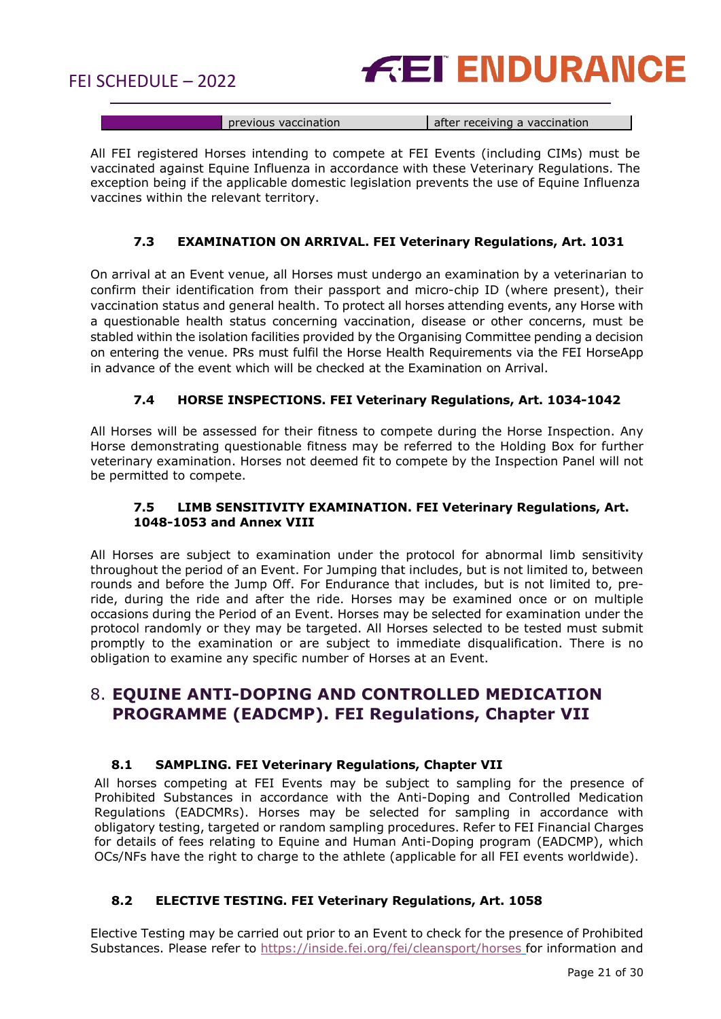

|  |  | tination<br>ואש צווויוני | after receiving a vaccination |
|--|--|--------------------------|-------------------------------|
|--|--|--------------------------|-------------------------------|

All FEI registered Horses intending to compete at FEI Events (including CIMs) must be vaccinated against Equine Influenza in accordance with these Veterinary Regulations. The exception being if the applicable domestic legislation prevents the use of Equine Influenza vaccines within the relevant territory.

#### **7.3 EXAMINATION ON ARRIVAL. FEI Veterinary Regulations, Art. 1031**

<span id="page-20-0"></span>On arrival at an Event venue, all Horses must undergo an examination by a veterinarian to confirm their identification from their passport and micro-chip ID (where present), their vaccination status and general health. To protect all horses attending events, any Horse with a questionable health status concerning vaccination, disease or other concerns, must be stabled within the isolation facilities provided by the Organising Committee pending a decision on entering the venue. PRs must fulfil the Horse Health Requirements via the FEI HorseApp in advance of the event which will be checked at the Examination on Arrival.

#### **7.4 HORSE INSPECTIONS. FEI Veterinary Regulations, Art. 1034-1042**

<span id="page-20-1"></span>All Horses will be assessed for their fitness to compete during the Horse Inspection. Any Horse demonstrating questionable fitness may be referred to the Holding Box for further veterinary examination. Horses not deemed fit to compete by the Inspection Panel will not be permitted to compete.

#### **7.5 LIMB SENSITIVITY EXAMINATION. FEI Veterinary Regulations, Art. 1048-1053 and Annex VIII**

<span id="page-20-2"></span>All Horses are subject to examination under the protocol for abnormal limb sensitivity throughout the period of an Event. For Jumping that includes, but is not limited to, between rounds and before the Jump Off. For Endurance that includes, but is not limited to, preride, during the ride and after the ride. Horses may be examined once or on multiple occasions during the Period of an Event. Horses may be selected for examination under the protocol randomly or they may be targeted. All Horses selected to be tested must submit promptly to the examination or are subject to immediate disqualification. There is no obligation to examine any specific number of Horses at an Event.

## <span id="page-20-3"></span>8. **EQUINE ANTI-DOPING AND CONTROLLED MEDICATION PROGRAMME (EADCMP). FEI Regulations, Chapter VII**

#### **8.1 SAMPLING. FEI Veterinary Regulations, Chapter VII**

<span id="page-20-4"></span>All horses competing at FEI Events may be subject to sampling for the presence of Prohibited Substances in accordance with the Anti-Doping and Controlled Medication Regulations (EADCMRs). Horses may be selected for sampling in accordance with obligatory testing, targeted or random sampling procedures. Refer to FEI Financial Charges for details of fees relating to Equine and Human Anti-Doping program (EADCMP), which OCs/NFs have the right to charge to the athlete (applicable for all FEI events worldwide).

#### <span id="page-20-5"></span>**8.2 ELECTIVE TESTING. FEI Veterinary Regulations, Art. 1058**

Elective Testing may be carried out prior to an Event to check for the presence of Prohibited Substances. Please refer to <https://inside.fei.org/fei/cleansport/horses> for information and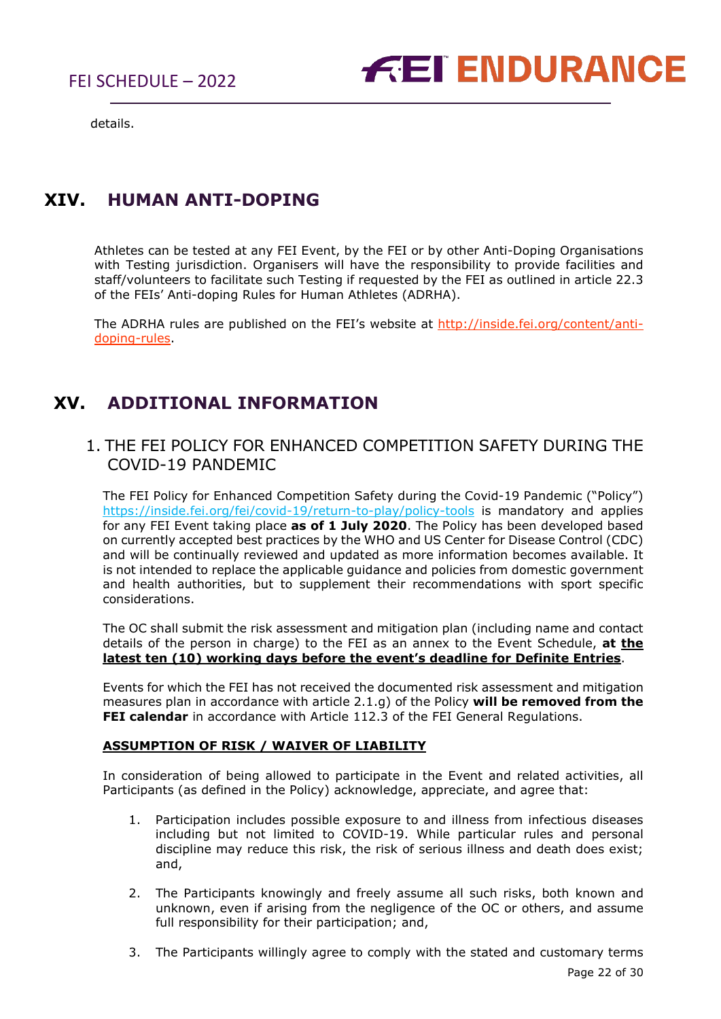

details.

## <span id="page-21-0"></span>**XIV. HUMAN ANTI-DOPING**

Athletes can be tested at any FEI Event, by the FEI or by other Anti-Doping Organisations with Testing jurisdiction. Organisers will have the responsibility to provide facilities and staff/volunteers to facilitate such Testing if requested by the FEI as outlined in article 22.3 of the FEIs' Anti-doping Rules for Human Athletes (ADRHA).

The ADRHA rules are published on the FEI's website at [http://inside.fei.org/content/anti](http://inside.fei.org/content/anti-doping-rules)[doping-rules.](http://inside.fei.org/content/anti-doping-rules)

## <span id="page-21-1"></span>**XV. ADDITIONAL INFORMATION**

## <span id="page-21-2"></span>1. THE FEI POLICY FOR ENHANCED COMPETITION SAFETY DURING THE COVID-19 PANDEMIC

The FEI Policy for Enhanced Competition Safety during the Covid-19 Pandemic ("Policy") <https://inside.fei.org/fei/covid-19/return-to-play/policy-tools> is mandatory and applies for any FEI Event taking place **as of 1 July 2020**. The Policy has been developed based on currently accepted best practices by the WHO and US Center for Disease Control (CDC) and will be continually reviewed and updated as more information becomes available. It is not intended to replace the applicable guidance and policies from domestic government and health authorities, but to supplement their recommendations with sport specific considerations.

The OC shall submit the risk assessment and mitigation plan (including name and contact details of the person in charge) to the FEI as an annex to the Event Schedule, **at the latest ten (10) working days before the event's deadline for Definite Entries**.

Events for which the FEI has not received the documented risk assessment and mitigation measures plan in accordance with article 2.1.g) of the Policy **will be removed from the FEI calendar** in accordance with Article 112.3 of the FEI General Regulations.

#### **ASSUMPTION OF RISK / WAIVER OF LIABILITY**

In consideration of being allowed to participate in the Event and related activities, all Participants (as defined in the Policy) acknowledge, appreciate, and agree that:

- 1. Participation includes possible exposure to and illness from infectious diseases including but not limited to COVID-19. While particular rules and personal discipline may reduce this risk, the risk of serious illness and death does exist; and,
- 2. The Participants knowingly and freely assume all such risks, both known and unknown, even if arising from the negligence of the OC or others, and assume full responsibility for their participation; and,
- 3. The Participants willingly agree to comply with the stated and customary terms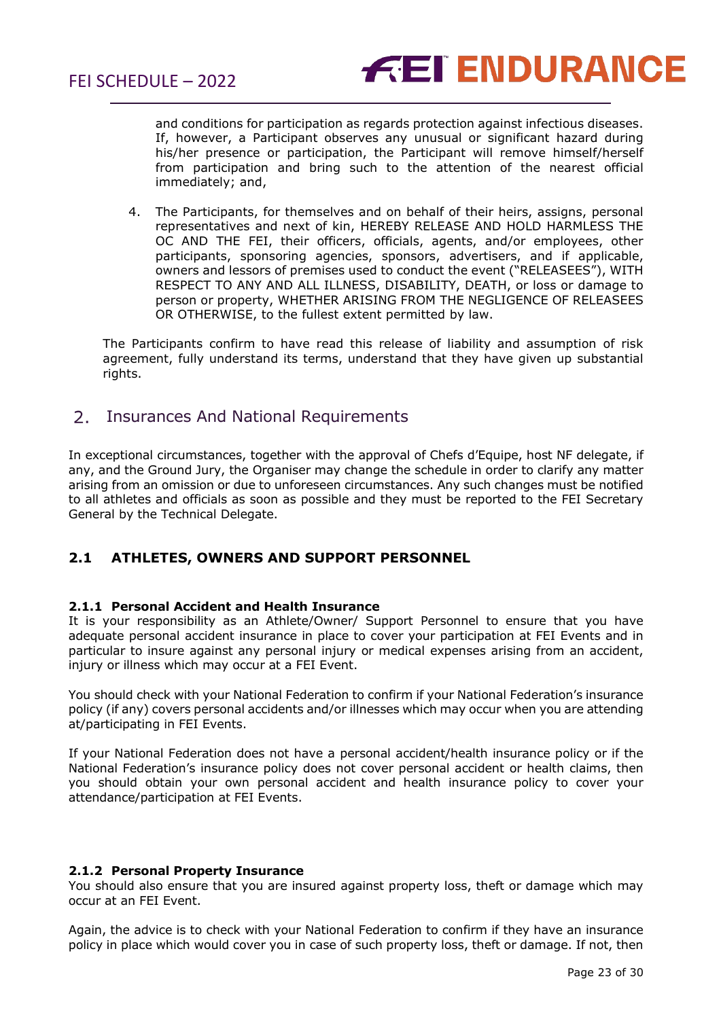

and conditions for participation as regards protection against infectious diseases. If, however, a Participant observes any unusual or significant hazard during his/her presence or participation, the Participant will remove himself/herself from participation and bring such to the attention of the nearest official immediately; and,

4. The Participants, for themselves and on behalf of their heirs, assigns, personal representatives and next of kin, HEREBY RELEASE AND HOLD HARMLESS THE OC AND THE FEI, their officers, officials, agents, and/or employees, other participants, sponsoring agencies, sponsors, advertisers, and if applicable, owners and lessors of premises used to conduct the event ("RELEASEES"), WITH RESPECT TO ANY AND ALL ILLNESS, DISABILITY, DEATH, or loss or damage to person or property, WHETHER ARISING FROM THE NEGLIGENCE OF RELEASEES OR OTHERWISE, to the fullest extent permitted by law.

The Participants confirm to have read this release of liability and assumption of risk agreement, fully understand its terms, understand that they have given up substantial rights.

#### <span id="page-22-0"></span> $2.$ Insurances And National Requirements

In exceptional circumstances, together with the approval of Chefs d'Equipe, host NF delegate, if any, and the Ground Jury, the Organiser may change the schedule in order to clarify any matter arising from an omission or due to unforeseen circumstances. Any such changes must be notified to all athletes and officials as soon as possible and they must be reported to the FEI Secretary General by the Technical Delegate.

#### **2.1 ATHLETES, OWNERS AND SUPPORT PERSONNEL**

#### **2.1.1 Personal Accident and Health Insurance**

It is your responsibility as an Athlete/Owner/ Support Personnel to ensure that you have adequate personal accident insurance in place to cover your participation at FEI Events and in particular to insure against any personal injury or medical expenses arising from an accident, injury or illness which may occur at a FEI Event.

You should check with your National Federation to confirm if your National Federation's insurance policy (if any) covers personal accidents and/or illnesses which may occur when you are attending at/participating in FEI Events.

If your National Federation does not have a personal accident/health insurance policy or if the National Federation's insurance policy does not cover personal accident or health claims, then you should obtain your own personal accident and health insurance policy to cover your attendance/participation at FEI Events.

#### **2.1.2 Personal Property Insurance**

You should also ensure that you are insured against property loss, theft or damage which may occur at an FEI Event.

Again, the advice is to check with your National Federation to confirm if they have an insurance policy in place which would cover you in case of such property loss, theft or damage. If not, then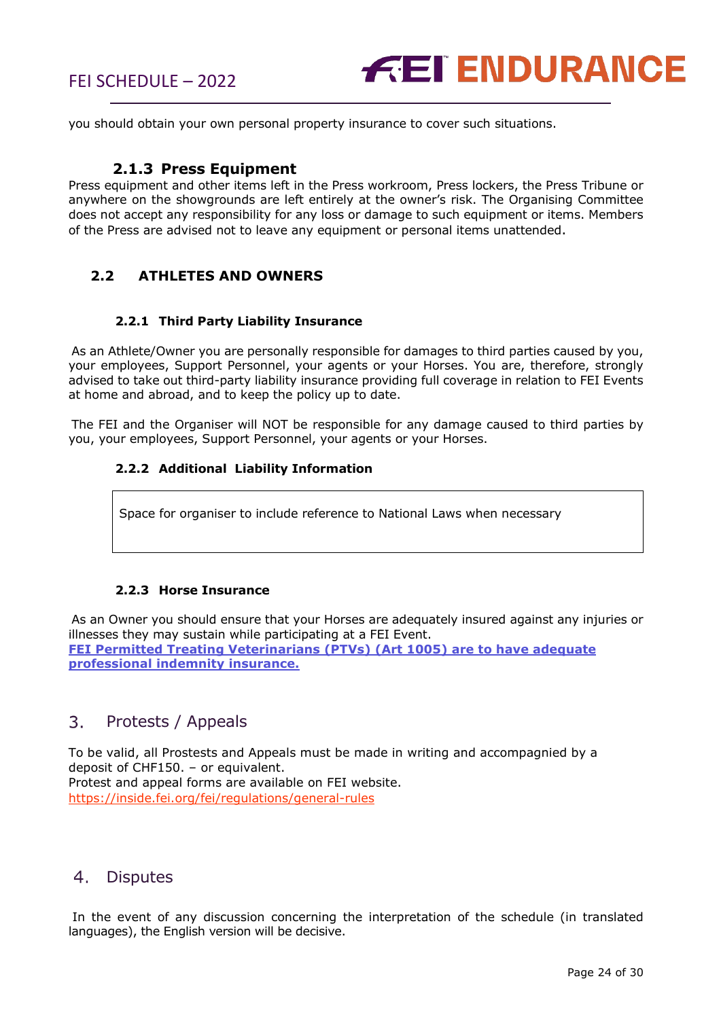

you should obtain your own personal property insurance to cover such situations.

#### **2.1.3 Press Equipment**

Press equipment and other items left in the Press workroom, Press lockers, the Press Tribune or anywhere on the showgrounds are left entirely at the owner's risk. The Organising Committee does not accept any responsibility for any loss or damage to such equipment or items. Members of the Press are advised not to leave any equipment or personal items unattended.

#### **2.2 ATHLETES AND OWNERS**

#### **2.2.1 Third Party Liability Insurance**

As an Athlete/Owner you are personally responsible for damages to third parties caused by you, your employees, Support Personnel, your agents or your Horses. You are, therefore, strongly advised to take out third-party liability insurance providing full coverage in relation to FEI Events at home and abroad, and to keep the policy up to date.

The FEI and the Organiser will NOT be responsible for any damage caused to third parties by you, your employees, Support Personnel, your agents or your Horses.

#### **2.2.2 Additional Liability Information**

Space for organiser to include reference to National Laws when necessary

#### **2.2.3 Horse Insurance**

As an Owner you should ensure that your Horses are adequately insured against any injuries or illnesses they may sustain while participating at a FEI Event. **FEI Permitted Treating Veterinarians (PTVs) (Art 1005) are to have adequate professional indemnity insurance.** 

#### <span id="page-23-0"></span> $3<sub>1</sub>$ Protests / Appeals

To be valid, all Prostests and Appeals must be made in writing and accompagnied by a deposit of CHF150. – or equivalent. Protest and appeal forms are available on FEI website. <https://inside.fei.org/fei/regulations/general-rules>

#### <span id="page-23-1"></span> $4.$ **Disputes**

In the event of any discussion concerning the interpretation of the schedule (in translated languages), the English version will be decisive.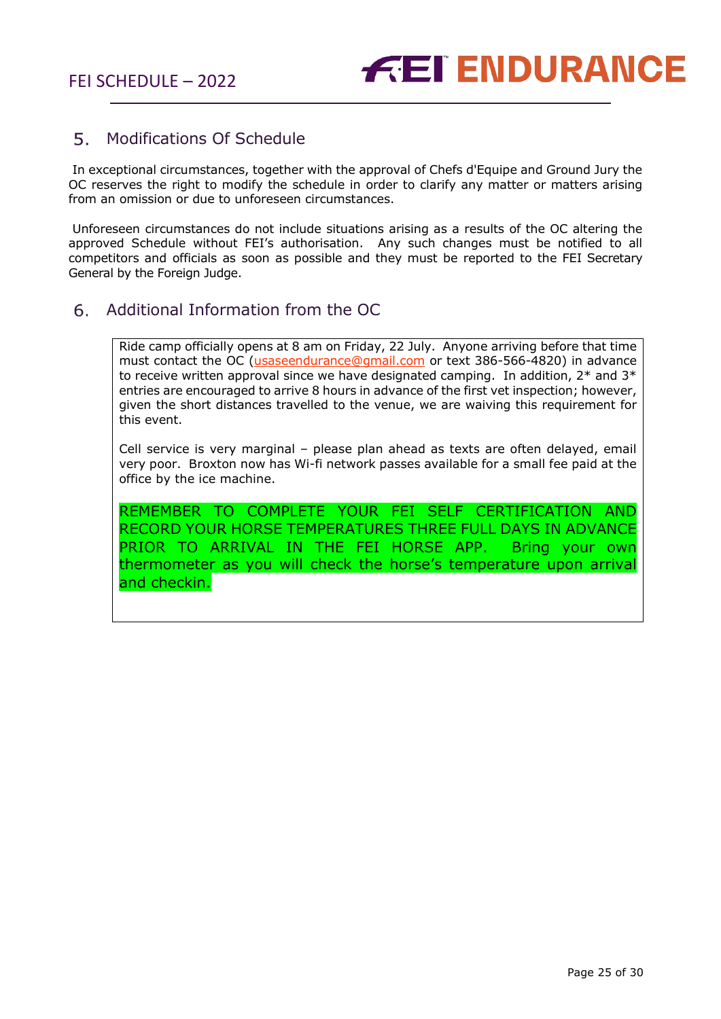#### <span id="page-24-0"></span>5. Modifications Of Schedule

In exceptional circumstances, together with the approval of Chefs d'Equipe and Ground Jury the OC reserves the right to modify the schedule in order to clarify any matter or matters arising from an omission or due to unforeseen circumstances.

Unforeseen circumstances do not include situations arising as a results of the OC altering the approved Schedule without FEI's authorisation. Any such changes must be notified to all competitors and officials as soon as possible and they must be reported to the FEI Secretary General by the Foreign Judge.

#### <span id="page-24-1"></span> $6.$ Additional Information from the OC

Ride camp officially opens at 8 am on Friday, 22 July. Anyone arriving before that time must contact the OC (*usaseendurance@gmail.com* or text 386-566-4820) in advance to receive written approval since we have designated camping. In addition,  $2^*$  and  $3^*$ entries are encouraged to arrive 8 hours in advance of the first vet inspection; however, given the short distances travelled to the venue, we are waiving this requirement for this event.

Cell service is very marginal – please plan ahead as texts are often delayed, email very poor. Broxton now has Wi-fi network passes available for a small fee paid at the office by the ice machine.

REMEMBER TO COMPLETE YOUR FEI SELF CERTIFICATION AND RECORD YOUR HORSE TEMPERATURES THREE FULL DAYS IN ADVANCE PRIOR TO ARRIVAL IN THE FEI HORSE APP. Bring your own thermometer as you will check the horse's temperature upon arrival and checkin.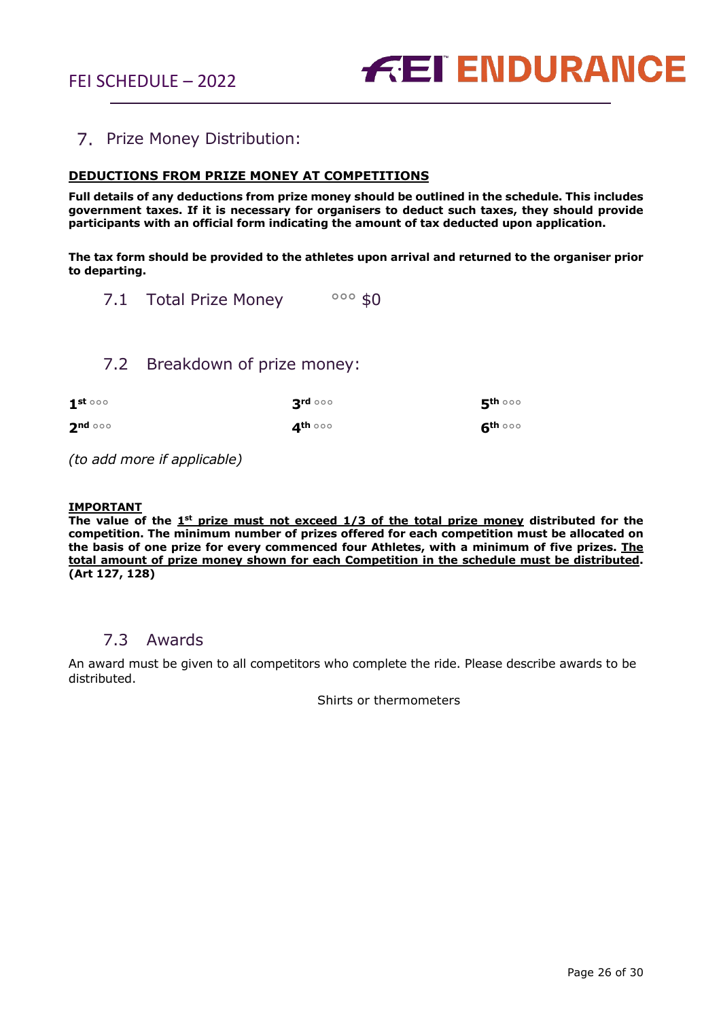

## <span id="page-25-0"></span>7. Prize Money Distribution:

#### **DEDUCTIONS FROM PRIZE MONEY AT COMPETITIONS**

**Full details of any deductions from prize money should be outlined in the schedule. This includes government taxes. If it is necessary for organisers to deduct such taxes, they should provide participants with an official form indicating the amount of tax deducted upon application.** 

**The tax form should be provided to the athletes upon arrival and returned to the organiser prior to departing.**

<span id="page-25-1"></span>7.1 Total Prize Money 000 \$0

## 7.2 Breakdown of prize money:

<span id="page-25-2"></span>

| $1^{\rm st}$ 000 | $3rd$ 000 | $\mathbf{5}^{\text{th} \, \circ \circ \circ}$ |
|------------------|-----------|-----------------------------------------------|
| $2^{nd}$         | ⊿th ○○○   | $6^{\text{th} \, \circ \circ \circ}$          |

*(to add more if applicable)*

#### **IMPORTANT**

**The value of the 1st prize must not exceed 1/3 of the total prize money distributed for the competition. The minimum number of prizes offered for each competition must be allocated on the basis of one prize for every commenced four Athletes, with a minimum of five prizes. The total amount of prize money shown for each Competition in the schedule must be distributed. (Art 127, 128)**

### 7.3 Awards

<span id="page-25-3"></span>An award must be given to all competitors who complete the ride. Please describe awards to be distributed.

Shirts or thermometers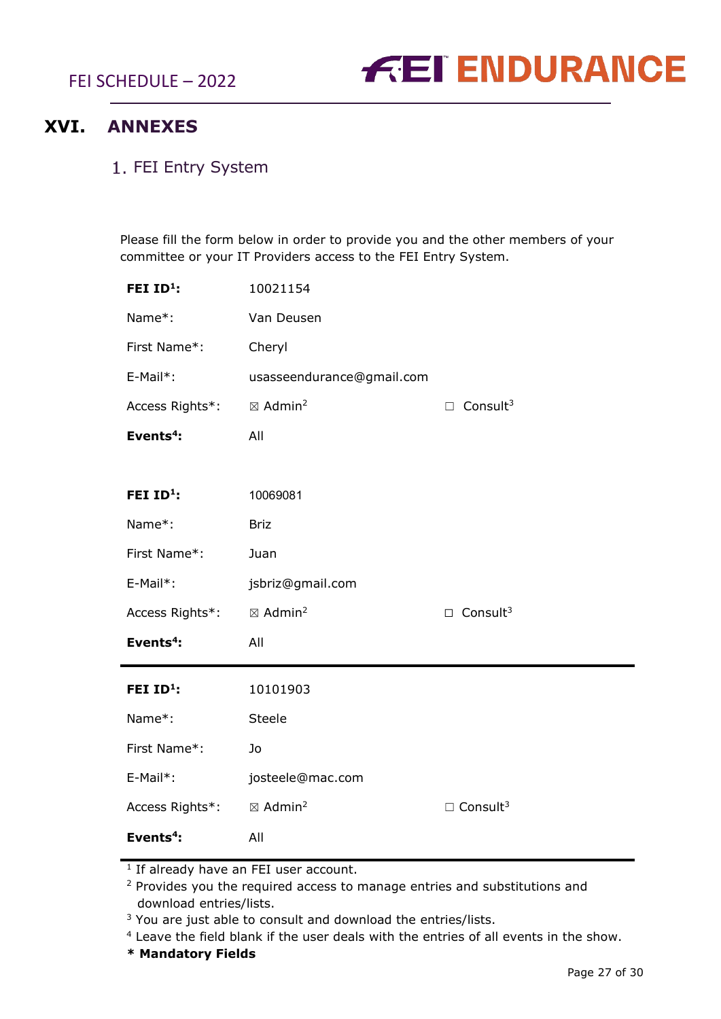FEI SCHEDULE – 2022



## <span id="page-26-0"></span>**XVI. ANNEXES**

## <span id="page-26-1"></span>1. FEI Entry System

Please fill the form below in order to provide you and the other members of your committee or your IT Providers access to the FEI Entry System.

| FEI ID <sup>1</sup> : | 10021154                       |                             |
|-----------------------|--------------------------------|-----------------------------|
| Name*:                | Van Deusen                     |                             |
| First Name*:          | Cheryl                         |                             |
| E-Mail*:              | usasseendurance@gmail.com      |                             |
| Access Rights*:       | $\boxtimes$ Admin <sup>2</sup> | $\Box$ Consult <sup>3</sup> |
| Events <sup>4</sup> : | All                            |                             |
|                       |                                |                             |
| FEI $ID^1$ :          | 10069081                       |                             |
| Name*:                | <b>Briz</b>                    |                             |
| First Name*:          | Juan                           |                             |
| E-Mail*:              | jsbriz@gmail.com               |                             |
| Access Rights*:       | $\boxtimes$ Admin <sup>2</sup> | $\Box$ Consult <sup>3</sup> |
| Events <sup>4</sup> : | All                            |                             |
| FEI ID <sup>1</sup> : | 10101903                       |                             |
| Name*:                | Steele                         |                             |
| First Name*:          | Jo                             |                             |
| E-Mail*:              | josteele@mac.com               |                             |
| Access Rights*:       | $\boxtimes$ Admin <sup>2</sup> | $\Box$ Consult <sup>3</sup> |
| Events <sup>4</sup> : |                                |                             |
|                       | All                            |                             |

<sup>1</sup> If already have an FEI user account.

<sup>2</sup> Provides you the required access to manage entries and substitutions and download entries/lists.

 $3$  You are just able to consult and download the entries/lists.

<sup>4</sup> Leave the field blank if the user deals with the entries of all events in the show.

**\* Mandatory Fields**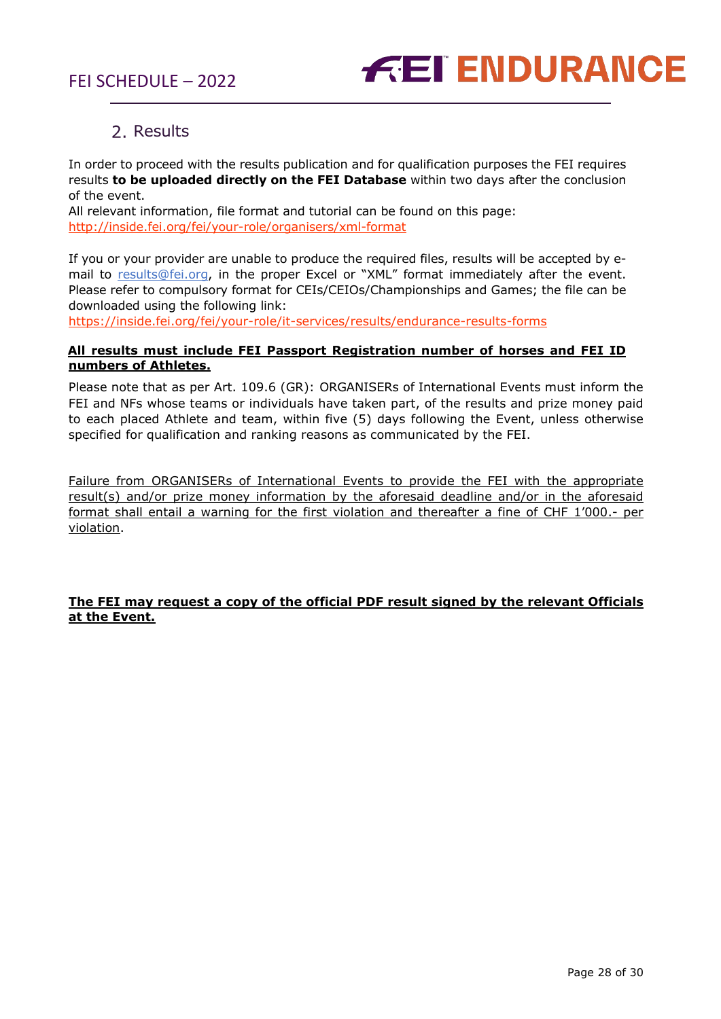

## 2. Results

<span id="page-27-0"></span>In order to proceed with the results publication and for qualification purposes the FEI requires results **to be uploaded directly on the FEI Database** within two days after the conclusion of the event.

All relevant information, file format and tutorial can be found on this page: <http://inside.fei.org/fei/your-role/organisers/xml-format>

If you or your provider are unable to produce the required files, results will be accepted by email to [results@fei.org,](mailto:results@fei.org) in the proper Excel or "XML" format immediately after the event. Please refer to compulsory format for CEIs/CEIOs/Championships and Games; the file can be downloaded using the following link:

https://inside.fei.org/fei/your-role/it-services/results/endurance-results-forms

#### **All results must include FEI Passport Registration number of horses and FEI ID numbers of Athletes.**

Please note that as per Art. 109.6 (GR): ORGANISERs of International Events must inform the FEI and NFs whose teams or individuals have taken part, of the results and prize money paid to each placed Athlete and team, within five (5) days following the Event, unless otherwise specified for qualification and ranking reasons as communicated by the FEI.

Failure from ORGANISERs of International Events to provide the FEI with the appropriate result(s) and/or prize money information by the aforesaid deadline and/or in the aforesaid format shall entail a warning for the first violation and thereafter a fine of CHF 1'000.- per violation.

#### **The FEI may request a copy of the official PDF result signed by the relevant Officials at the Event.**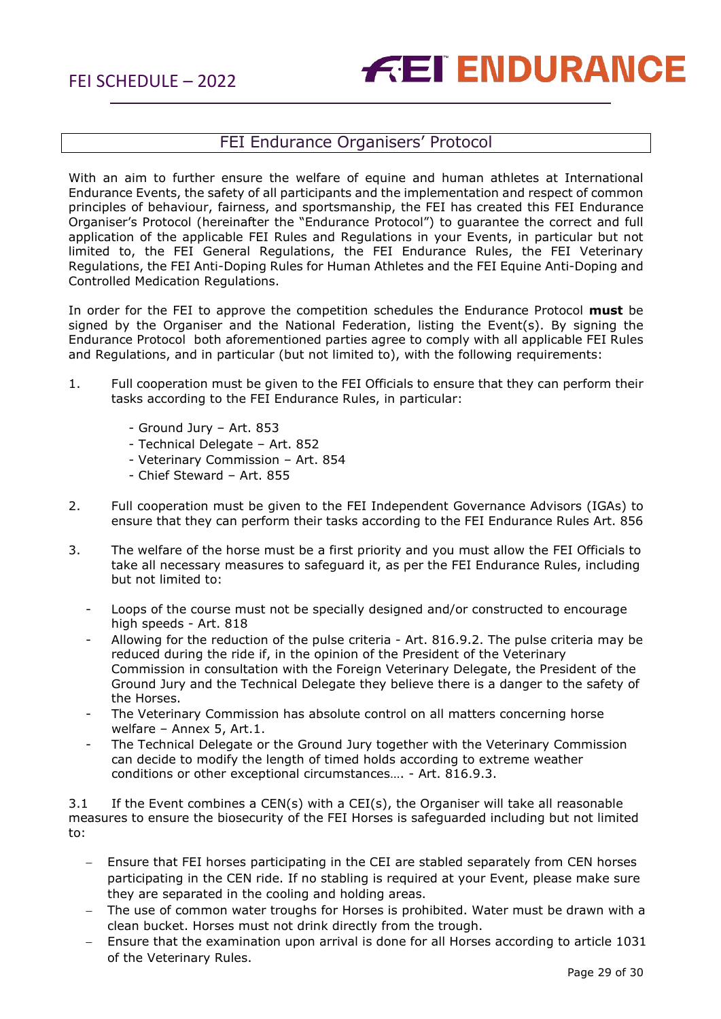## FEI Endurance Organisers' Protocol

<span id="page-28-0"></span>With an aim to further ensure the welfare of equine and human athletes at International Endurance Events, the safety of all participants and the implementation and respect of common principles of behaviour, fairness, and sportsmanship, the FEI has created this FEI Endurance Organiser's Protocol (hereinafter the "Endurance Protocol") to guarantee the correct and full application of the applicable FEI Rules and Regulations in your Events, in particular but not limited to, the FEI General Regulations, the FEI Endurance Rules, the FEI Veterinary Regulations, the FEI Anti-Doping Rules for Human Athletes and the FEI Equine Anti-Doping and Controlled Medication Regulations.

In order for the FEI to approve the competition schedules the Endurance Protocol **must** be signed by the Organiser and the National Federation, listing the Event(s). By signing the Endurance Protocol both aforementioned parties agree to comply with all applicable FEI Rules and Regulations, and in particular (but not limited to), with the following requirements:

- 1. Full cooperation must be given to the FEI Officials to ensure that they can perform their tasks according to the FEI Endurance Rules, in particular:
	- Ground Jury Art. 853
	- Technical Delegate Art. 852
	- Veterinary Commission Art. 854
	- Chief Steward Art. 855
- 2. Full cooperation must be given to the FEI Independent Governance Advisors (IGAs) to ensure that they can perform their tasks according to the FEI Endurance Rules Art. 856
- 3. The welfare of the horse must be a first priority and you must allow the FEI Officials to take all necessary measures to safeguard it, as per the FEI Endurance Rules, including but not limited to:
	- Loops of the course must not be specially designed and/or constructed to encourage high speeds - Art. 818
	- Allowing for the reduction of the pulse criteria Art. 816.9.2. The pulse criteria may be reduced during the ride if, in the opinion of the President of the Veterinary Commission in consultation with the Foreign Veterinary Delegate, the President of the Ground Jury and the Technical Delegate they believe there is a danger to the safety of the Horses.
	- The Veterinary Commission has absolute control on all matters concerning horse welfare – Annex 5, Art.1.
	- The Technical Delegate or the Ground Jury together with the Veterinary Commission can decide to modify the length of timed holds according to extreme weather conditions or other exceptional circumstances…. - Art. 816.9.3.

3.1 If the Event combines a CEN(s) with a CEI(s), the Organiser will take all reasonable measures to ensure the biosecurity of the FEI Horses is safeguarded including but not limited to:

- Ensure that FEI horses participating in the CEI are stabled separately from CEN horses participating in the CEN ride. If no stabling is required at your Event, please make sure they are separated in the cooling and holding areas.
- The use of common water troughs for Horses is prohibited. Water must be drawn with a clean bucket. Horses must not drink directly from the trough.
- − Ensure that the examination upon arrival is done for all Horses according to article 1031 of the Veterinary Rules.